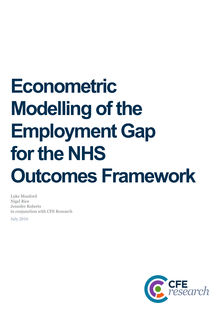# **Econometric Modelling of the Employment Gap for the NHS Outcomes Framework**

Luke Munford Nigel Rice Jennifer Roberts in conjunction with CFE Research

July 2016

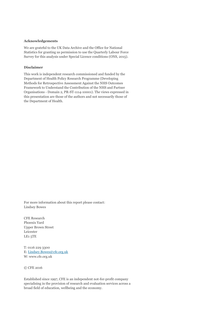#### **Acknowledgements**

We are grateful to the UK Data Archive and the Office for National Statistics for granting us permission to use the Quarterly Labour Force Survey for this analysis under Special Licence conditions (ONS, 2015).

#### **Disclaimer**

This work is independent research commissioned and funded by the Department of Health Policy Research Programme (Developing Methods for Retrospective Assessment Against the NHS Outcomes Framework to Understand the Contribution of the NHS and Partner Organisations - Domain 2, PR-ST-1114-10001). The views expressed in this presentation are those of the authors and not necessarily those of the Department of Health.

For more information about this report please contact: Lindsey Bowes

CFE Research Phoenix Yard Upper Brown Street Leicester LE1 5TE

T: 0116 229 3300 E: [Lindsey.Bowes@cfe.org.uk](mailto:Lindsey.Bowes@cfe.org.uk) W: www.cfe.org.uk

© CFE 2016

Established since 1997, CFE is an independent not-for-profit company specialising in the provision of research and evaluation services across a broad field of education, wellbeing and the economy.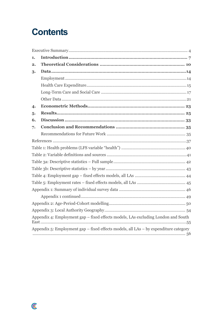### **Contents**

| 1. |                                                                                      |
|----|--------------------------------------------------------------------------------------|
| 2. |                                                                                      |
| 3. |                                                                                      |
|    |                                                                                      |
|    |                                                                                      |
|    |                                                                                      |
|    |                                                                                      |
| 4. |                                                                                      |
| 5. |                                                                                      |
| 6. |                                                                                      |
| 7. |                                                                                      |
|    |                                                                                      |
|    |                                                                                      |
|    |                                                                                      |
|    |                                                                                      |
|    |                                                                                      |
|    |                                                                                      |
|    |                                                                                      |
|    |                                                                                      |
|    |                                                                                      |
|    |                                                                                      |
|    |                                                                                      |
|    |                                                                                      |
|    | Appendix 4: Employment gap – fixed effects models, LAs excluding London and South    |
|    | Appendix 5: Employment gap – fixed effects models, all LAs – by expenditure category |

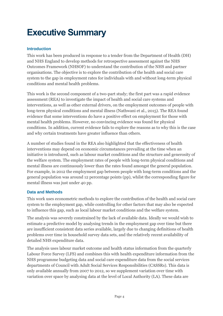### <span id="page-3-0"></span>**Executive Summary**

#### **Introduction**

This work has been produced in response to a tender from the Department of Health (DH) and NHS England to develop methods for retrospective assessment against the NHS Outcomes Framework (NHSOF) to understand the contribution of the NHS and partner organisations. The objective is to explore the contribution of the health and social care system to the gap in employment rates for individuals with and without long-term physical conditions and mental health problems.

This work is the second component of a two-part study; the first part was a rapid evidence assessment (REA) to investigate the impact of health and social care systems and interventions, as well as other external drivers, on the employment outcomes of people with long-term physical conditions and mental illness (Nathwani et al., 2015). The REA found evidence that some interventions do have a positive effect on employment for those with mental health problems. However, no convincing evidence was found for physical conditions. In addition, current evidence fails to explore the reasons as to why this is the case and why certain treatments have greater influence than others.

A number of studies found in the REA also highlighted that the effectiveness of health interventions may depend on economic circumstances prevailing at the time when an initiative is introduced, such as labour market conditions and the structure and generosity of the welfare system. The employment rates of people with long-term physical conditions and mental illness are continuously lower than the rates found amongst the general population. For example, in 2012 the employment gap between people with long-term conditions and the general population was around 12 percentage points (pp), whilst the corresponding figure for mental illness was just under 40 pp.

#### **Data and Methods**

This work uses econometric methods to explore the contribution of the health and social care system to the employment gap, while controlling for other factors that may also be expected to influence this gap, such as local labour market conditions and the welfare system.

The analysis was severely constrained by the lack of available data. Ideally we would wish to estimate a predictive model by analysing trends in the employment gap over time but there are insufficient consistent data series available, largely due to changing definitions of health problems over time in household survey data sets, and the relatively recent availability of detailed NHS expenditure data.

The analysis uses labour market outcome and health status information from the quarterly Labour Force Survey (LFS) and combines this with health expenditure information from the NHS programme budgeting data and social care expenditure data from the social services departments of Council with Adult Social Services Responsibilities (CASSRs). This data is only available annually from 2007 to 2012, so we supplement variation over time with variation over space by analysing data at the level of Local Authority (LA). These data are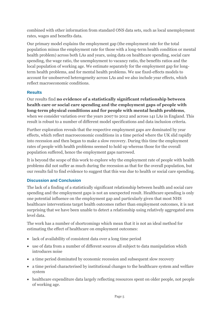combined with other information from standard ONS data sets, such as local unemployment rates, wages and benefits data.

Our primary model explains the employment gap (the employment rate for the total population minus the employment rate for those with a long-term health condition or mental health problem) across both LAs and years, using data on healthcare spending, social care spending, the wage ratio, the unemployment to vacancy ratio, the benefits ratios and the local population of working age. We estimate separately for the employment gap for longterm health problems, and for mental health problems. We use fixed-effects models to account for unobserved heterogeneity across LAs and we also include year effects, which reflect macroeconomic conditions.

#### **Results**

Our results find **no evidence of a statistically significant relationship between health care or social care spending and the employment gaps of people with long-term physical conditions and for people with mental health problems**, when we consider variation over the years 2007 to 2012 and across 141 LAs in England. This result is robust to a number of different model specifications and data inclusion criteria.

Further exploration reveals that the respective employment gaps are dominated by year effects, which reflect macroeconomic conditions in a time period where the UK slid rapidly into recession and then began to make a slow recovery. During this time the employment rates of people with health problems seemed to hold up whereas those for the overall population suffered, hence the employment gaps narrowed.

It is beyond the scope of this work to explore why the employment rate of people with health problems did not suffer as much during the recession as that for the overall population, but our results fail to find evidence to suggest that this was due to health or social care spending.

#### **Discussion and Conclusion**

The lack of a finding of a statistically significant relationship between health and social care spending and the employment gaps is not an unexpected result. Healthcare spending is only one potential influence on the employment gap and particularly given that most NHS healthcare interventions target health outcomes rather than employment outcomes, it is not surprising that we have been unable to detect a relationship using relatively aggregated area level data.

The work has a number of shortcomings which mean that it is not an ideal method for estimating the effect of healthcare on employment outcomes:

- lack of availability of consistent data over a long time period
- use of data from a number of different sources all subject to data manipulation which introduces noise
- a time period dominated by economic recession and subsequent slow recovery
- a time period characterised by institutional changes to the healthcare system and welfare system
- healthcare expenditure data largely reflecting resources spent on older people, not people of working age.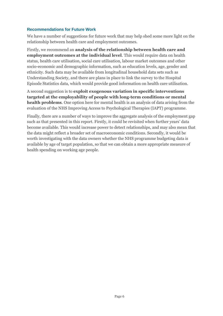#### **Recommendations for Future Work**

We have a number of suggestions for future work that may help shed some more light on the relationship between health care and employment outcomes.

Firstly, we recommend an **analysis of the relationship between health care and employment outcomes at the individual level**. This would require data on health status, health care utilisation, social care utilisation, labour market outcomes and other socio-economic and demographic information, such as education levels, age, gender and ethnicity. Such data may be available from longitudinal household data sets such as Understanding Society, and there are plans in place to link the survey to the Hospital Episode Statistics data, which would provide good information on health care utilisation.

A second suggestion is to **exploit exogenous variation in specific interventions targeted at the employability of people with long-term conditions or mental health problems**. One option here for mental health is an analysis of data arising from the evaluation of the NHS Improving Access to Psychological Therapies (IAPT) programme.

Finally, there are a number of ways to improve the aggregate analysis of the employment gap such as that presented in this report. Firstly, it could be revisited when further years' data become available. This would increase power to detect relationships, and may also mean that the data might reflect a broader set of macroeconomic conditions. Secondly, it would be worth investigating with the data owners whether the NHS programme budgeting data is available by age of target population, so that we can obtain a more appropriate measure of health spending on working age people.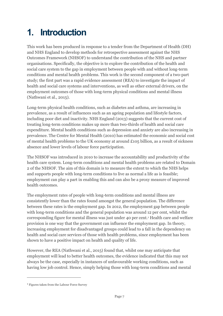# <span id="page-6-0"></span>**1. Introduction**

This work has been produced in response to a tender from the Department of Health (DH) and NHS England to develop methods for retrospective assessment against the NHS Outcomes Framework (NHSOF) to understand the contribution of the NHS and partner organisations. Specifically, the objective is to explore the contribution of the health and social care system to the gap in employment between people with and without long-term conditions and mental health problems. This work is the second component of a two-part study; the first part was a rapid evidence assessment (REA) to investigate the impact of health and social care systems and interventions, as well as other external drivers, on the employment outcomes of those with long-term physical conditions and mental illness (Nathwani et al., 2015).

Long-term physical health conditions, such as diabetes and asthma, are increasing in prevalence, as a result of influences such as an ageing population and lifestyle factors, including poor diet and inactivity. NHS England (2013) suggests that the current cost of treating long-term conditions makes up more than two-thirds of health and social care expenditure. Mental health conditions such as depression and anxiety are also increasing in prevalence. The Centre for Mental Health (2010) has estimated the economic and social cost of mental health problems to the UK economy at around £105 billion, as a result of sickness absence and lower levels of labour force participation.

The NHSOF was introduced in 2010 to increase the accountability and productivity of the health care system. Long-term conditions and mental health problems are related to Domain 2 of the NHSOF. The aim of this domain is to measure the extent to which the NHS helps and supports people with long-term conditions to live as normal a life as is feasible; employment can play a part in enabling this and can also be a proxy measure of improved health outcomes.

The employment rates of people with long-term conditions and mental illness are consistently lower than the rates found amongst the general population. The difference between these rates is the employment gap. In 2012, the employment gap between people with long-term conditions and the general population was around 12 per cent, whilst the corresponding figure for mental illness was just under 40 per cent.<sup>1</sup> Health care and welfare provision is one way that the government can influence the employment gap. In theory, increasing employment for disadvantaged groups could lead to a fall in the dependency on health and social care services of those with health problems, since employment has been shown to have a positive impact on health and quality of life.

However, the REA (Nathwani et al., 2015) found that, whilst one may anticipate that employment will lead to better health outcomes, the evidence indicated that this may not always be the case, especially in instances of unfavourable working conditions, such as having low job control. Hence, simply helping those with long-term conditions and mental

<sup>1</sup> Figures taken from the Labour Force Survey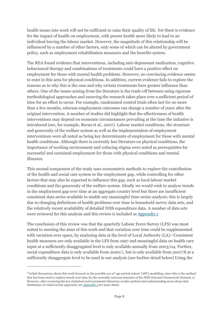health issues into work will not be sufficient to raise their quality of life. Yet there is evidence for the impact of health on employment, with poorer health more likely to lead to an individual leaving the labour market. However, the magnitude of this relationship will be influenced by a number of other factors, only some of which can be altered by government policy, such as employment rehabilitation measures and the benefits system.

The REA found evidence that interventions, including anti-depressant medication, cognitive behavioural therapy and combinations of treatments could have a positive effect on employment for those with mental health problems. However, no convincing evidence seems to exist in this area for physical conditions. In addition, current evidence fails to explore the reasons as to why this is the case and why certain treatments have greater influence than others. One of the issues arising from the literature is the trade-off between using rigorous methodological approaches and ensuring the research takes place over a sufficient period of time for an effect to occur. For example, randomised control trials often last for no more than a few months, whereas employment outcomes can change a number of years after the original intervention. A number of studies did highlight that the effectiveness of health interventions may depend on economic circumstances prevailing at the time the initiative is introduced (see, for example, Burns et al., 2007). Labour market conditions, the structure and generosity of the welfare system as well as the implementation of employment interventions were all noted as being key determinants of employment for those with mental health conditions. Although there is currently less literature on physical conditions, the importance of working environment and reducing stigma were noted as prerequisites for successful and sustained employment for those with physical conditions and mental illnesses.

This second component of the study uses econometric methods to explore the contribution of the health and social care system to the employment gap, while controlling for other factors that may also be expected to influence this gap, such as local labour market conditions and the generosity of the welfare system. Ideally we would wish to analyse trends in the employment gap over time at an aggregate country level but there are insufficient consistent data series available to enable any meaningful time-series analysis; this is largely due to changing definitions of health problems over time in household survey data sets, and the relatively recent availability of detailed NHS expenditure data. A number of data sets were reviewed for this analysis and this review is included as [Appendix 1.](#page-45-0)

The conclusion of this review was that the quarterly Labour Force Survey (LFS) was most suited to meeting the aims of this work and that variation over time could be supplemented with variation over space, by analysing data at the level of Local Authority (LA). <sup>2</sup> Consistent health measures are only available in the LFS from 1997 and meaningful data on health care input at a sufficiently disaggregated level is only available annually from 2003/04. Further, social expenditure data is only available from 2000/1, but is only available from 2007/8 at a sufficiently disaggregate level to be used in our analysis (see further detail below) Using the

<sup>2</sup> Initial discussions about this work focused on the possible use of 'age-period-cohort' (APC) modelling, since this is the method that has been used to explore trends over time for the mortality outcome domains of the NHS Outcome Framework (Domain 1). However, after reviewing the key statistical and econometric literature on this method and understanding more about data limitations we ruled out the approach; se[e Appendix 2](#page-48-1) for more detail.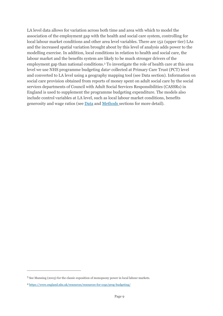LA level data allows for variation across both time and area with which to model the association of the employment gap with the health and social care system, controlling for local labour market conditions and other area level variables. There are 152 (upper tier) LAs and the increased spatial variation brought about by this level of analysis adds power to the modelling exercise. In addition, local conditions in relation to health and social care, the labour market and the benefits system are likely to be much stronger drivers of the employment gap than national conditions. <sup>3</sup> To investigate the role of health care at this area level we use NHS programme budgeting data<sup>4</sup> collected at Primary Care Trust (PCT) level and converted to LA level using a geography mapping tool (see Data section). Information on social care provision obtained from reports of money spent on adult social care by the social services departments of Council with Adult Social Services Responsibilities (CASSRs) in England is used to supplement the programme budgeting expenditure. The models also include control variables at LA level, such as local labour market conditions, benefits generosity and wage ratios (see **Data** and **Methods** sections for more detail).

<sup>3</sup> See Manning (2003) for the classic exposition of monopsony power in local labour markets.

<sup>4</sup> <https://www.england.nhs.uk/resources/resources-for-ccgs/prog-budgeting/>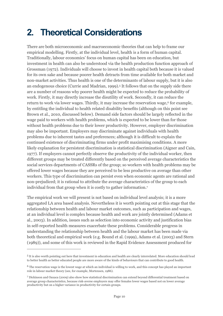### <span id="page-9-0"></span>**2. Theoretical Considerations**

There are both microeconomic and macroeconomic theories that can help to frame our empirical modelling. Firstly, at the individual level, health is a form of human capital. Traditionally, labour economics' focus on human capital has been on education, but investment in health can also be understood via the health production function approach of Grossman (1972). Individuals will choose to invest in health capital both because it is valued for its own sake and because poorer health detracts from time available for both market and non-market activities. Thus health is one of the determinants of labour supply, but it is also an endogenous choice (Currie and Madrian, 1999). <sup>5</sup> It follows that on the supply side there are a number of reasons why poorer health might be expected to reduce the probability of work. Firstly, it may directly increase the disutility of work. Secondly, it can reduce the return to work via lower wages. Thirdly, it may increase the reservation wage,<sup>6</sup> for example, by entitling the individual to health related disability benefits (although on this point see Brown et al., 2010, discussed below). Demand side factors should be largely reflected in the wage paid to workers with health problems, which is expected to be lower than for those without health problems due to their lower productivity. However, employer discrimination may also be important. Employers may discriminate against individuals with health problems due to inherent tastes and preferences; although it is difficult to explain the continued existence of discriminating firms under profit maximising conditions. A more likely explanation for persistent discrimination is statistical discrimination (Aigner and Cain, 1977). If employers cannot perfectly observe the productivity of the individual worker, then different groups may be treated differently based on the perceived average characteristics the social services departments of CASSRs of the group; so workers with health problems may be offered lower wages because they are perceived to be less productive on average than other workers. This type of discrimination can persist even when economic agents are rational and non-prejudiced; it is rational to attribute the average characteristics of the group to each individual from that group when it is costly to gather information. 7

The empirical work we will present is not based on individual level analysis; it is a more aggregated LA area based analysis. Nevertheless it is worth pointing out at this stage that the relationship between health and labour market outcomes, such as participation and wages, at an individual level is complex because health and work are jointly determined (Adams et al., 2003). In addition, issues such as selection into economic activity and justification bias in self-reported health measures exacerbate these problems. Considerable progress in understanding the relationship between health and the labour market has been made via both theoretical and empirical work (e.g. Bound et al. (1999), Adams et al. (2003) and Stern (1989)), and some of this work is reviewed in the Rapid Evidence Assessment produced for

<sup>5</sup> It is also worth pointing out here that investment in education and health are clearly interrelated. More education should lead to better health as better educated people are more aware of the kinds of behaviours that can contribute to good health.

<sup>6</sup> The reservation wage is the lowest wage at which an individual is willing to work, and this concept has played an important role in labour market theory (see, for example, Mortensen, 1986).

<sup>7</sup> Dickinson and Oaxaca (2009) also show how statistical discrimination can extend beyond differential treatment based on average group characteristics, because risk-averse employers may offer females lower wages based not on lower average productivity but on a higher variance in productivity for certain groups.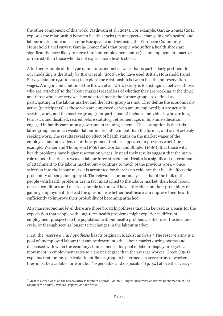the other component of this work (Nathwani et al., 2015). For example, Garcia-Gomez (2011) explores the relationship between health shocks (an unexpected change in one's health) and labour market outcomes in nine European countries using the European Community Household Panel survey. Garcia-Gomez finds that people who suffer a health shock are significantly more likely to move into non-employment status (i.e. unemployment, inactive or retired) than those who do not experience a health shock.

A further example of this type of micro-econometric work that is particularly pertinent for our modelling is the study by Brown et al. (2010), who have used British Household Panel Survey data for 1991 to 2004 to explore the relationship between health and reservation wages. A major contribution of the Brown et al. (2010) study is to distinguish between those who are 'attached' to the labour market (regardless of whether they are working at the time) and those who have very weak or no attachment; the former group are defined as participating in the labour market and the latter group are not. They define the economically active (participants) as those who are employed or who are unemployed but are actively seeking work, and the inactive group (non-participants) includes individuals who are longterm sick and disabled, retired before statutory retirement age, in full-time education, engaged in family care or on a government training scheme. The assumption is that this latter group has much weaker labour market attachment than the former, and is not actively seeking work. The results reveal no effect of health status on the market wages of the employed, and no evidence for the argument that has appeared in previous work (for example, Walker and Thompson (1996) and Gordon and Blinder (1980)) that those with health problems have higher reservation wages. Instead their results suggest that the main role of poor health is to weaken labour force attachment. Health is a significant determinant of attachment to the labour market but – contrary to much of the previous work – once selection into the labour market is accounted for there is no evidence that health affects the probability of being unemployed. The relevance for our analysis is that if the bulk of the people with health problems are in fact unattached to the labour market, then local labour market conditions and macroeconomic factors will have little effect on their probability of gaining employment. Instead the question is whether healthcare can improve their health sufficiently to improve their probability of becoming attached.

At a macroeconomic level there are three broad hypotheses that can be used as a basis for the expectation that people with long-term health problems might experience different employment prospects to the population without health problems, either over the business cycle, or through secular longer term changes in the labour market.

First, the *reserve army hypothesis* has its origins in Marxist analysis. <sup>8</sup> The reserve army is a pool of unemployed labour that can be drawn into the labour market during booms and dispensed with when the economy slumps; hence this pool of labour display pro-cyclical movement in employment rates to a greater degree than the average worker. Green (1991) explains that for any particular identifiable group to be termed a reserve army of workers, they must be available for work but "expendable and disposable" (p.194) above the average

<sup>8</sup> Most of Marx's work on the reserve army is found in *Capital, Volume 1*; Engels' also writes about this phenomenon in *The Origin of the Family, Private Property and the State*.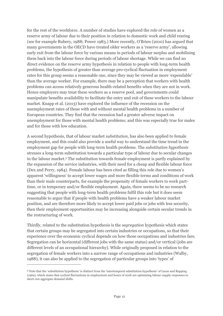for the rest of the workforce. A number of studies have explored the role of women as a reserve army of labour due to their position in relation to domestic work and child rearing (see for example Rubery, 1988; Power 1983.) More recently, O'Brien (2010) has argued that many governments in the OECD have treated older workers as a 'reserve army', allowing early exit from the labour force by various means in periods of labour surplus and mobilising them back into the labour force during periods of labour shortage. While we can find no direct evidence on the reserve army hypothesis in relation to people with long-term health problems, the hypothesis of greater than average pro-cyclical fluctuation in employment rates for this group seems a reasonable one, since they may be viewed as more 'expendable' than the average worker. For example, there may be a perception that workers with health problems can access relatively generous health-related benefits when they are not in work. Hence employers may treat these workers as a reserve pool, and governments could manipulate benefits availability to facilitate the entry and exit of these workers to the labour market. Knapp et al. (2013) have explored the influence of the recession on the unemployment rates of those with and without mental health problems in a number of European countries. They find that the recession had a greater adverse impact on unemployment for those with mental health problems; and this was especially true for males and for those with low education.

A second hypothesis, that of labour market *substitution*, has also been applied to female employment, and this could also provide a useful way to understand the time trend in the employment gap for people with long-term health problems. The *substitution hypothesis* stresses a long-term substitution towards a particular type of labour due to secular changes in the labour market. <sup>9</sup> The substitution towards female employment is partly explained by the expansion of the service industries, with their need for a cheap and flexible labour force (Dex and Perry, 1984). Female labour has been cited as filling this role due to women's apparent 'willingness' to accept lower wages and more flexible terms and conditions of work than their male counterparts, for example the propensity of female workers to work parttime, or in temporary and/or flexible employment. Again, there seems to be no research suggesting that people with long-term health problems fulfil this role but it does seem reasonable to argue that if people with health problems have a weaker labour market position, and are therefore more likely to accept lower paid jobs or jobs with less security, then their employment opportunities may be increasing alongside certain secular trends in the restructuring of work.

Thirdly, related to the substitution hypothesis is the *segregation* hypothesis which states that certain groups may be segregated into certain industries or occupations, so that their experience over the economic cyclical depends on how those occupations and industries fare. Segregation can be horizontal (different jobs with the same status) and/or vertical (jobs are different levels of an occupational hierarchy). While originally proposed in relation to the segregation of female workers into a narrow range of occupations and industries (Walby, 1988), it can also be applied to the segregation of particular groups into 'types' of

<sup>9</sup> Note that the 'substitution hypothesis' is distinct from the 'intertemporal substitution hypothesis' of Lucas and Rapping (1969), which states that cyclical fluctuations in employment and hours of work are optimizing labour-supply responses to short-run aggregate demand shifts.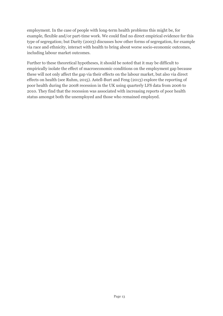employment. In the case of people with long-term health problems this might be, for example, flexible and/or part-time work. We could find no direct empirical evidence for this type of segregation; but Darity (2003) discusses how other forms of segregation, for example via race and ethnicity, interact with health to bring about worse socio-economic outcomes, including labour market outcomes.

Further to these theoretical hypotheses, it should be noted that it may be difficult to empirically isolate the effect of macroeconomic conditions on the employment gap because these will not only affect the gap via their effects on the labour market, but also via direct effects on health (see Ruhm, 2015). Astell-Burt and Feng (2013) explore the reporting of poor health during the 2008 recession in the UK using quarterly LFS data from 2006 to 2010. They find that the recession was associated with increasing reports of poor health status amongst both the unemployed and those who remained employed.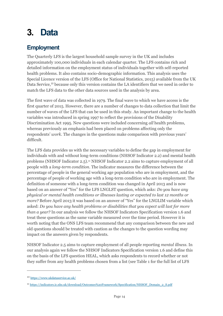### <span id="page-13-0"></span>**3. Data**

#### <span id="page-13-1"></span>**Employment**

The Quarterly LFS is the largest household sample survey in the UK and includes approximately 100,000 individuals in each calendar quarter. The LFS contains rich and detailed information on the employment status of individuals together with self-reported health problems. It also contains socio-demographic information. This analysis uses the Special Licence version of the LFS (Office for National Statistics, 2015) available from the UK Data Service, <sup>10</sup> because only this version contains the LA identifiers that we need in order to match the LFS data to the other data sources used in the analysis by area.

The first wave of data was collected in 1979. The final wave to which we have access is the first quarter of 2015. However, there are a number of changes to data collection that limit the number of waves of the LFS that can be used in this study. An important change to the health variables was introduced in spring 1997 to reflect the provisions of the Disability Discrimination Act 1995. New questions were included concerning *all* health problems, whereas previously an emphasis had been placed on problems affecting only the respondents' *work*. The changes in the questions make comparison with previous years' difficult.

The LFS data provides us with the necessary variables to define the gap in employment for individuals with and without long-term conditions (NHSOF Indicator 2.2) and mental health problems (NHSOF Indicator 2.5).<sup>11</sup> NHSOF Indicator 2.2 aims to capture employment of all people with a *long-term condition*. The indicator measures the difference between the percentage of people in the general working age population who are in employment, and the percentage of people of working age with a long-term condition who are in employment. The definition of someone with a long-term condition was changed in April 2013 and is now based on an answer of "Yes" for the LFS LNGLST question, which asks: *Do you have any physical or mental health conditions or illnesses lasting or expected to last 12 months or more?* Before April 2013 it was based on an answer of "Yes" for the LNGLIM variable which asked: *Do you have any health problems or disabilities that you expect will last for more than a year?* In our analysis we follow the NHSOF Indicators Specification version 1.6 and treat these questions as the same variable measured over the time period. However it is worth noting that the ONS LFS team recommend that any comparison between the new and old questions should be treated with caution as the changes to the question wording may impact on the answers given by respondents.

NHSOF Indicator 2.5 aims to capture employment of all people reporting *mental illness.* In our analysis again we follow the NHSOF Indicators Specification version 1.6 and define this on the basis of the LFS question HEAL, which asks respondents to record whether or not they suffer from any health problems chosen from a list (see Table 1 for the full list of LFS

<sup>10</sup> <https://www.ukdataservice.ac.uk/>

<sup>11</sup> [https://indicators.ic.nhs.uk/download/Outcomes%20Framework/Specification/NHSOF\\_Domain\\_2\\_S.pdf](https://indicators.ic.nhs.uk/download/Outcomes%20Framework/Specification/NHSOF_Domain_2_S.pdf)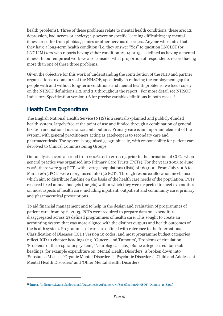health problems). Three of these problems relate to mental health conditions, these are: 12: depression, bad nerves or anxiety; 14: severe or specific learning difficulties; 15: mental illness or suffer from phobias, panics or other nervous disorders. Anyone who states that they have a long-term health condition (i.e. they answer "Yes" to question LNGLST (or LNGLIM) *and* who reports having either condition 12, 14 or 15, is defined as having a mental illness. In our empirical work we also consider what proportion of respondents record having more than one of these three problems.

<span id="page-14-0"></span>Given the objective for this work of understanding the contribution of the NHS and partner organisations to domain 2 of the NHSOF, specifically in reducing the employment gap for people with and without long-term conditions and mental health problems, we focus solely on the NHSOF definitions 2.2. and 2.5 throughout the report. For more detail see NHSOF Indicators Specification version 1.6 for precise variable definitions in both cases. 12

#### **Health Care Expenditure**

 $\overline{a}$ 

The English National Health Service (NHS) is a centrally-planned and publicly-funded health system, largely free at the point of use and funded through a combination of general taxation and national insurance contributions. Primary care is an important element of the system, with general practitioners acting as gatekeepers to secondary care and pharmaceuticals. The system is organised geographically, with responsibility for patient care devolved to Clinical Commissioning Groups.

Our analysis covers a period from 2006/07 to 2012/13, prior to the formation of CCGs when general practice was organised into Primary Care Trusts (PCTs). For the years 2003 to June 2006, there were 303 PCTs with average populations (lists) of 160,000. From July 2006 to March 2013 PCTs were reorganised into 152 PCTs. Through resource allocation mechanisms which aim to distribute funding on the basis of the health care needs of the population, PCTs received fixed annual budgets (targets) within which they were expected to meet expenditure on most aspects of health care, including inpatient, outpatient and community care, primary and pharmaceutical prescriptions.

To aid financial management and to help in the design and evaluation of programmes of patient care, from April 2003, PCTs were required to prepare data on expenditure disaggregated across 23 defined programmes of health care. This sought to create an accounting system that was more aligned with the distinct outputs and health outcomes of the health system. Programmes of care are defined with reference to the International Classification of Diseases (ICD) Version 10 codes, and most programme budget categories reflect ICD 10 chapter headings (e.g. 'Cancers and Tumours', 'Problems of circulation', 'Problems of the respiratory system', 'Neurological', etc.). Some categories contain subheadings, for example expenditure on 'Mental Health Disorders' is broken down into 'Substance Misuse', 'Organic Mental Disorders' , 'Psychotic Disorders', 'Child and Adolescent Mental Health Disorders' and 'Other Mental Health Disorders'.

<sup>12</sup> [https://indicators.ic.nhs.uk/download/Outcomes%20Framework/Specification/NHSOF\\_Domain\\_2\\_S.pdf](https://indicators.ic.nhs.uk/download/Outcomes%20Framework/Specification/NHSOF_Domain_2_S.pdf)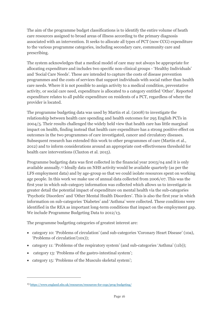The aim of the programme budget classifications is to identify the entire volume of heath care resources assigned to broad areas of illness according to the primary diagnosis associated with an intervention. It seeks to allocate all types of PCT (now CCG) expenditure to the various programme categories, including secondary care, community care and prescribing.

The system acknowledges that a medical model of care may not always be appropriate for allocating expenditure and includes two specific non-clinical groups - 'Healthy Individuals' and 'Social Care Needs'. These are intended to capture the costs of disease prevention programmes and the costs of services that support individuals with social rather than health care needs. Where it is not possible to assign activity to a medical condition, preventative activity, or social care need, expenditure is allocated to a category entitled 'Other'. Reported expenditure relates to all public expenditure on residents of a PCT, regardless of where the provider is located.

The programme budgeting data was used by Martin et al. (2008) to investigate the relationship between health care spending and health outcomes for 295 English PCTs in 2004/5. Their results challenged the widely held view that health care has little marginal impact on health, finding instead that health care expenditure has a strong positive effect on outcomes in the two programmes of care investigated, cancer and circulatory diseases. Subsequent research has extended this work to other programmes of care (Martin et al., 2012) and to inform considerations around an appropriate cost-effectiveness threshold for health care interventions (Claxton et al. 2015).

Programme budgeting data was first collected in the financial year 2003/04 and it is only available annually.<sup>13</sup> Ideally data on NHS activity would be available quarterly (as per the LFS employment data) and by age-group so that we could isolate resources spent on working age people. In this work we make use of annual data collected from 2006/07. This was the first year in which sub-category information was collected which allows us to investigate in greater detail the potential impact of expenditure on mental health via the sub-categories 'Psychotic Disorders' and 'Other Mental Health Disorders'. This is also the first year in which information on sub-categories 'Diabetes' and 'Asthma' were collected. These conditions were identified in the REA as important long-term conditions that impact on the employment gap. We include Programme Budgeting Data to 2012/13.

The programme budgeting categories of greatest interest are:

- category 10: 'Problems of circulation' (and sub-categories 'Coronary Heart Disease' (10a), 'Problems of circulation'(10x));
- category 11: 'Problems of the respiratory system' (and sub-categories 'Asthma' (11b));
- category 13: 'Problems of the gastro-intestinal system';
- category 15: 'Problems of the Musculo skeletal system';

<sup>13</sup> <https://www.england.nhs.uk/resources/resources-for-ccgs/prog-budgeting/>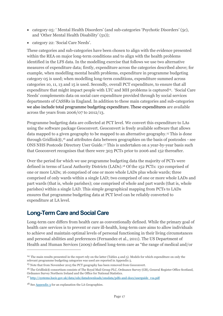- category  $05$ : 'Mental Health Disorders' (and sub-categories 'Psychotic Disorders' (5c), and 'Other Mental Health Disability' (5x));
- category 22: 'Social Care Needs'.

These categories and sub-categories have been chosen to align with the evidence presented within the REA on major long-term conditions and to align with the health problems identified in the LFS data. In the modelling exercise that follows we use two alternative measures of expenditure data; firstly, expenditure across the categories described above; for example, when modelling mental health problems, expenditure in programme budgeting category 05 is used; when modelling long-term conditions, expenditure summed across categories 10, 11, 13 and 15 is used. Secondly, overall PCT expenditure, to ensure that all expenditure that might impact people with LTC and MH problems is captured<sup>14</sup>. 'Social Care Needs' complements data on social care expenditure provided through by social services departments of CASSRs in England. In addition to these main categories and sub-categories we also include total programme budgeting expenditure. These expenditures are available across the years from 2006/07 to 2012/13.

Programme budgeting data are collected at PCT level. We convert this expenditure to LAs using the software package Geoconvert. Geoconvert is freely available software that allows data mapped to a given geography to be mapped to an alternative geography.<sup>15</sup> This is done through Gridlink®, <sup>16</sup> and attributes data between geographies on the basis of postcodes - see ONS NHS Postcode Directory User Guide. <sup>17</sup> This is undertaken on a year-by-year basis such that Geoconvert recognises that there were 303 PCTs prior to 2006 and 152 thereafter.

Over the period for which we use programme budgeting data the majority of PCTs were defined in terms of Local Authority Districts (LADs). <sup>18</sup> Of the 152 PCTs: 130 comprised of one or more LADs; 16 comprised of one or more whole LADs plus whole wards; three comprised of only wards within a single LAD; two comprised of one or more whole LADs and part wards (that is, whole parishes); one comprised of whole and part wards (that is, whole parishes) within a single LAD. This simple geographical mapping from PCTs to LADs ensures that programme budgeting data at PCT level can be reliably converted to expenditure at LA level.

#### <span id="page-16-0"></span>**Long-Term Care and Social Care**

Long-term care differs from health care as conventionally defined. While the primary goal of health care services is to prevent or cure ill-health, long-term care aims to allow individuals to achieve and maintain optimal levels of personal functioning in their living circumstances and personal abilities and preferences (Fernandez et al., 2011). The US Department of Health and Human Services (2009) defined long-term care as "the range of medical and/or

<sup>14</sup> The main results presented in the report rely on the latter (Tables 4 and 5). Models for which expenditure on only the relevant programme budgeting categories was used are reported in Appendix 5.

<sup>15</sup> Note that from November 2015 the PCT geography has been removed from Geoconvert.

<sup>16</sup> The Gridlink® consortium consists of The Royal Mail Group PLC, Ordnance Survey (GB), General Register Office Scotland, Ordnance Survey Northern Ireland and the Office for National Statistics.

<sup>&</sup>lt;sup>17</sup> [http://systems.hscic.gov.uk/data/ods/datadownloads/onsdata/pdfs-and-docs/userguide\\_v1a.pdf](http://systems.hscic.gov.uk/data/ods/datadownloads/onsdata/pdfs-and-docs/userguide_v1a.pdf)

 $18$  Se[e Appendix 3](#page-53-0) for an explanation the LA Geographies.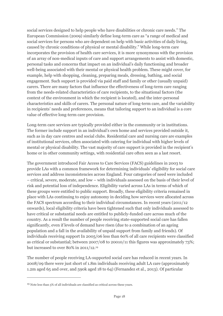social services designed to help people who have disabilities or chronic care needs." The European Commission (2009) similarly define long-term care as "a range of medical and social services for persons who are dependent on help with basic activities of daily living, caused by chronic conditions of physical or mental disability." While long-term care incorporates the provision of health care services, it is more synonymous with the provision of an array of non-medical inputs of care and support arrangements to assist with domestic, personal tasks and concerns that impact on an individual's daily functioning and broader well-being associated with their mental or physical health problem. These might cover, for example, help with shopping, cleaning, preparing meals, dressing, bathing, and social engagement. Such support is provided via paid staff and family or other (usually unpaid) carers. There are many factors that influence the effectiveness of long-term care ranging from the needs-related characteristics of care recipients, to the situational factors (the context of the environment in which the recipient is located), and the inter-personal characteristics and skills of carers. The personal nature of long-term care, and the variability in recipients' needs and preferences, means that tailoring support to an individual is a core value of effective long-term care provision.

Long-term care services are typically provided either in the community or in institutions. The former include support in an individual's own home and services provided outside it, such as in day care centres and social clubs. Residential care and nursing care are examples of institutional services, often associated with catering for individual with higher levels of mental or physical disability. The vast majority of care support is provided in the recipient's home or in other community settings, with residential care often seen as a last resort.

The government introduced Fair Access to Care Services (FACS) guidelines in 2003 to provide LAs with a common framework for determining individuals' eligibility for social care services and address inconsistencies across England. Four categories of need were included – critical, severe, moderate, and low – with individuals assessed on the basis of their level of risk and potential loss of independence. Eligibility varied across LAs in terms of which of these groups were entitled to public support. Broadly, these eligibility criteria remained in place with LAs continuing to enjoy autonomy in deciding how services were allocated across the FACS spectrum according to their individual circumstances. In recent years (2011/12 onwards), local eligibility criteria have been tightened such that only individuals assessed to have critical or substantial needs are entitled to publicly-funded care across much of the country. As a result the number of people receiving state-supported social care has fallen significantly, even if levels of demand have risen (due to a combination of an ageing population and a fall in the availability of unpaid support from family and friends). Of individuals receiving support In 2005/06 less than 60% of all care recipients were classified as critical or substantial; between 2007/08 to 20010/11 this figures was approximately 73%; but increased to over 80% in 2011/12.<sup>19</sup>

The number of people receiving LA-supported social care has reduced in recent years. In 2008/09 there were just short of 1.8m individuals receiving adult LA care (approximately 1.2m aged 65 and over, and 590k aged 18 to 64) (Fernandez et al., 2013). Of particular

<sup>19</sup> Note less than 5% of all individuals are classified as critical across these years.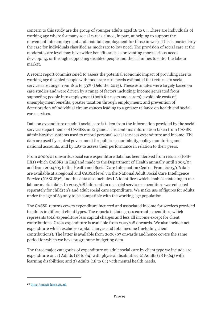concern to this study are the group of younger adults aged 18 to 64. These are individuals of working age where for many social care is aimed, in part, at helping to support the movement into employment and maintain employment for those in work. This is particularly the case for individuals classified as moderate to low need. The provision of social care at the moderate care level may have wider benefits such as preventing more serious needs developing, or through supporting disabled people and their families to enter the labour market.

A recent report commissioned to assess the potential economic impact of providing care to working age disabled people with moderate care needs estimated that returns to social service care range from 18% to 53% (Deloitte, 2013). These estimates were largely based on case studies and were driven by a range of factors including: income generated from supporting people into employment (both for users and carers); avoidable costs of unemployment benefits; greater taxation through employment; and prevention of deterioration of individual circumstances leading to a greater reliance on health and social care services.

Data on expenditure on adult social care is taken from the information provided by the social services departments of CASSRs in England. This contains information taken from CASSR administrative systems used to record personal social services expenditure and income. The data are used by central government for public accountability, policy monitoring and national accounts, and by LAs to assess their performance in relation to their peers.

From 2000/01 onwards, social care expenditure data has been derived from returns (PSS-EX1) which CASSRs in England made to the Department of Health annually until 2003/04 and from 2004/05 to the Health and Social Care Information Centre. From 2005/06 data are available at a regional and CASSR level via the National Adult Social Care Intelligence Service (NASCIS)<sup>20</sup>, and this data also includes LA identifiers which enables matching to our labour market data. In 2007/08 information on social services expenditure was collected separately for children's and adult social care expenditure. We make use of figures for adults under the age of 65 only to be compatible with the working age population.

The CASSR returns covers expenditure incurred and associated income for services provided to adults in different client types. The reports include gross current expenditure which represents total expenditure less capital charges and less all income except for client contributions. Gross expenditure is available from 2007/08 onwards. We also include net expenditure which excludes capital charges and total income (including client contributions). The latter is available from 2006/07 onwards and hence covers the same period for which we have programme budgeting data.

The three major categories of expenditure on adult social care by client type we include are expenditure on: 1) Adults (18 to 64) with physical disabilities; 2) Adults (18 to 64) with learning disabilities; and 3) Adults (18 to 64) with mental health needs.

<sup>20</sup> [https://nascis.hscic.gov.uk.](https://nascis.hscic.gov.uk/)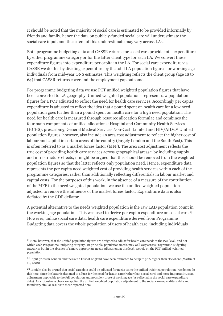It should be noted that the majority of social care is estimated to be provided informally by friends and family, hence the data on publicly-funded social care will underestimate the social care input, and the extent of this underestimate may vary across LAs.

Both programme budgeting data and CASSR returns for social care provide total expenditure by either programme category or for the latter client type for each LA. We convert these expenditure figures into expenditure per capita in the LA. For social care expenditure via CASSR we do this by dividing expenditure by the total LA population figures for working age individuals from mid-year ONS estimates. This weighting reflects the client group (age 18 to 64) that CASSR returns cover and the employment gap outcome.

For programme budgeting data we use PCT unified weighted population figures that have been converted to LA geography. Unified weighted populations represent raw population figures for a PCT adjusted to reflect the need for health care services. Accordingly per capita expenditure is adjusted to reflect the idea that a pound spent on health care for a low need population goes further than a pound spent on health care for a high need population. The need for health care is measured through resource allocation formulae and combines the four main components of unified allocations: Hospital and Community Health Services (HCHS), prescribing, General Medical Services Non-Cash Limited and HIV/AIDs.<sup>21</sup> Unified population figures, however, also include an area cost adjustment to reflect the higher cost of labour and capital in certain areas of the country (largely London and the South East). This is often referred to as a market forces factor (MFF). The area cost adjustment reflects the true cost of providing health care services across geographical areas<sup>22</sup> by including supply and infrastructure effects; it might be argued that this should be removed from the weighted population figures so that the latter reflects only population need. Hence, expenditure data represents the per capita need weighted cost of providing health services within each of the programme categories, rather than additionally reflecting differentials in labour market and capital costs. For the purposes of this work, in the absence of a measure of the contribution of the MFF to the need weighted population, we use the unified weighted population adjusted to remove the influence of the market forces factor. Expenditure data is also deflated by the GDP deflator.

A potential alternative to the needs weighted population is the raw LAD population count in the working age population. This was used to derive per capita expenditure on social care.<sup>23</sup> However, unlike social care data, health care expenditure derived from Programme Budgeting data covers the whole population of users of health care, including individuals

<sup>&</sup>lt;sup>21</sup> Note, however, that the unified population figures are designed to adjust for health care needs at the PCT level, and not within each Programme Budgeting category. In principle, population needs, may well vary across Programme Budgeting categories but in the absence of a more appropriate needs adjustment at this level, we rely on the PCT unified weighted population.

<sup>&</sup>lt;sup>22</sup> Input prices in London and the South East of England have been estimated to be up to 30% higher than elsewhere (Martin et al., 2008)

<sup>&</sup>lt;sup>23</sup> It might also be argued that social care data could be adjusted for needs using the unified weighted population. We do not do this here, since the latter is designed to adjust for the need for health care (rather than social care) and more importantly, is an adjustment applicable to the full population and not solely those of working age (as reflected in the social care expenditure data). As a robustness check we applied the unified weighted population adjustment to the social care expenditure data and found very similar results to those reported here.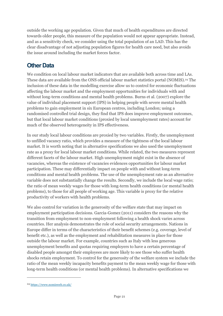outside the working age population. Given that much of health expenditures are directed towards older people, this measure of the population would not appear appropriate. Instead, and as a sensitivity check, we consider using the total population of an LAD. This has the clear disadvantage of not adjusting population figures for health care need, but also avoids the issue around including the market forces factor.

#### <span id="page-20-0"></span>**Other Data**

We condition on local labour market indicators that are available both across time and LAs. These data are available from the ONS official labour market statistics portal (NOMIS). <sup>24</sup> The inclusion of these data in the modelling exercise allow us to control for economic fluctuations affecting the labour market and the employment opportunities for individuals with and without long-term conditions and mental health problems. Burns et al. (2007) explore the value of individual placement support (IPS) in helping people with severe mental health problems to gain employment in six European centres, including London; using a randomised controlled trial design, they find that IPS does improve employment outcomes, but that local labour market conditions (proxied by local unemployment rates) account for much of the observed heterogeneity in IPS effectiveness.

In our study local labour conditions are proxied by two variables. Firstly, the unemployment to unfilled vacancy ratio, which provides a measure of the tightness of the local labour market. It is worth noting that in alternative specifications we also used the unemployment rate as a proxy for local labour market conditions. While related, the two measures represent different facets of the labour market. High unemployment might exist in the absence of vacancies, whereas the existence of vacancies evidences opportunities for labour market participation. These may differentially impact on people with and without long-term conditions and mental health problems. The use of the unemployment rate as an alternative variable does not substantially change the results. Secondly, we include the local wage ratio; the ratio of mean weekly wages for those with long-term health conditions (or mental health problems), to those for all people of working age. This variable is proxy for the relative productivity of workers with health problems.

We also control for variation in the generosity of the welfare state that may impact on employment participation decisions. Garcia-Gomez (2011) considers the reasons why the transition from employment to non-employment following a health shock varies across countries. Her analysis demonstrates the role of social security arrangements. Nations in Europe differ in terms of the characteristics of their benefit schemes (e.g. coverage, level of benefit etc.), as well as the employment and rehabilitation measures in place for those outside the labour market. For example, countries such as Italy with less generous unemployment benefits and quotas requiring employers to have a certain percentage of disabled people amongst their employees are more likely to see those who suffer health shocks retain employment. To control for the generosity of the welfare system we include the ratio of the mean weekly incapacity benefits payment to the mean weekly wage for those with long-term health conditions (or mental health problems). In alternative specifications we

<sup>24</sup> <https://www.nomisweb.co.uk/>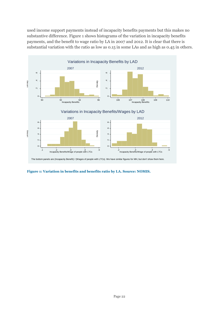used income support payments instead of incapacity benefits payments but this makes no substantive difference. [Figure 1](#page-21-0) shows histograms of the variation in incapacity benefits payments, and the benefit to wage ratio by LA in 2007 and 2012. It is clear that there is substantial variation with the ratio as low as 0.15 in some LAs and as high as 0.45 in others.



<span id="page-21-0"></span>**Figure 1: Variation in benefits and benefits ratio by LA. Source: NOMIS.**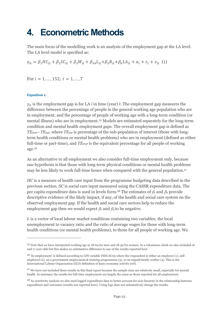### <span id="page-22-0"></span>**4. Econometric Methods**

The main focus of the modelling work is an analysis of the employment gap at the LA level. The LA level model is specified as:

 $y_{it} = \beta_1 H C_{it} + \beta_2 S C_{it} + \beta_3 W_{it} + \beta_3 A L_{it} + \beta_5 B_{it} + \beta_6 L A_{it} + \alpha_i + \tau_t + v_{it}$  (1)

For  $i = 1, ..., 152$ ;  $t = 1, ..., T$ 

#### <span id="page-22-1"></span>**Equation 1.**

 $\overline{a}$ 

 $y_{it}$  is the employment gap is for LA *i* in time (year) *t*. The employment gap measures the difference between the percentage of people in the general working age population who are in employment, and the percentage of people of working age with a long-term condition (or mental illness) who are in employment. <sup>25</sup> Models are estimated separately for the long-term condition and mental health employment gaps. The overall employment gap is defined as *TEPOP - TEHP*, where *TEHP* is percentage of the sub-population of interest (those with longterm health conditions or mental health problems) who are in employment (defined as either full-time or part-time), and *TE*<sub>*POP*</sub> is the equivalent percentage for all people of working age. 26

As an alternative to all employment we also consider full-time employment only, because one hypothesis is that those with long-term physical conditions or mental health problems may be less likely to work full-time hours when compared with the general population.<sup>27</sup>

*HC* is a measure of health care input from the programme budgeting data described in the previous section. *SC* is social care input measured using the CASSR expenditure data. The per capita expenditure data is used in levels form.<sup>28</sup> The estimates of  $\beta_1$  and  $\beta_2$  provide descriptive evidence of the likely impact, if any, of the health and social care system on the observed employment gap. If the health and social care sectors help to reduce the employment gap then we would expect  $\beta_1$  and  $\beta_2$  to be negative.

*L* is a vector of local labour market conditions containing two variables; the local unemployment to vacancy ratio and the ratio of average wages for those with long-term health conditions (or mental health problems), to those for all people of working age. We

<sup>25</sup> Note that we have interpreted working age as 18-64 for men and 18-59 for women. In a robustness check we also included 16 and 17 year olds but this makes no substantive difference to any of the results reported here.

<sup>&</sup>lt;sup>26</sup> 'In employment' is defined according to LFS variable INECAC05 where the respondent is either an employee (1), selfemployed (2), on a government employment & training programmes (3), or an unpaid family worker (4). This is the International Labour Organisation (ILO) definition of basic economic activity (ref).

<sup>&</sup>lt;sup>27</sup> We have not included these results in this final report because the sample sizes are relatively small, especially for mental health. In summary the results for full-time employment are largely the same as those reported for all employment.

<sup>&</sup>lt;sup>28</sup> As sensitivity analysis we also used logged expenditure data to better account for non-linearity in the relationship between expenditure and outcomes (results not reported here). Using logs does not substantively change the results.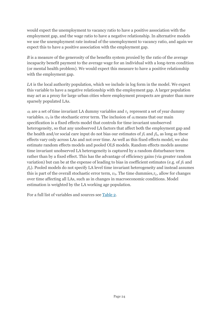would expect the unemployment to vacancy ratio to have a positive association with the employment gap, and the wage ratio to have a negative relationship. In alternative models we use the unemployment rate instead of the unemployment to vacancy ratio, and again we expect this to have a positive association with the employment gap.

*B* is a measure of the generosity of the benefits system proxied by the ratio of the average incapacity benefit payment to the average wage for an individual with a long-term condition (or mental health problem). We would expect this measure to have a positive relationship with the employment gap.

*LA* is the local authority population, which we include in log form in the model. We expect this variable to have a negative relationship with the employment gap. A larger population may act as a proxy for large urban cities where employment prospects are greater than more sparsely populated LAs.

 $\alpha_i$  are a set of time invariant LA dummy variables and  $\tau_t$  represent a set of year dummy variables.  $v_{it}$  is the stochastic error term. The inclusion of  $\alpha_i$  means that our main specification is a fixed effects model that controls for time invariant unobserved heterogeneity, so that any unobserved LA factors that affect both the employment gap and the health and/or social care input do not bias our estimates of  $\beta_1$  and  $\beta_2$ , as long as these effects vary only across LAs and not over time. As well as this fixed effects model, we also estimate random effects models and pooled OLS models. Random effects models assume time invariant unobserved LA heterogeneity is captured by a random disturbance term rather than by a fixed effect. This has the advantage of efficiency gains (via greater random variation) but can be at the expense of leading to bias in coefficient estimates (e.g. of  $\beta_1$  and  $\beta_2$ ). Pooled models do not specify LA level time invariant heterogeneity and instead assumes this is part of the overall stochastic error term,  $v_{it}$ . The time dummies,  $\tau_t$ , allow for changes over time affecting all LAs, such as in changes in macroeconomic conditions. Model estimation is weighted by the LA working age population.

For a full list of variables and sources see [Table 2.](#page-40-0)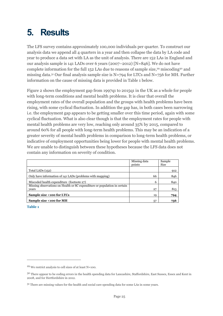# <span id="page-24-0"></span>**5. Results**

The LFS survey contains approximately 100,000 individuals per quarter. To construct our analysis data we append all 4 quarters in a year and then collapse the data by LA code and year to produce a data set with LA as the unit of analysis. There are 152 LAs in England and our analysis sample is 141 LADs over 6 years (2007–2012) [N=846]. We do not have complete information for the full 152 LAs due to reasons of sample size,<sup>29</sup> miscoding<sup>30</sup> and missing data. <sup>31</sup> Our final analysis sample size is N=794 for LTCs and N=756 for MH. Further information on the cause of missing data is provided in [Table 1](#page-24-1) below.

[Figure 2](#page-25-0) shows the employment gap from 1997q1 to 2015q1 in the UK as a whole for people with long-term conditions and mental health problems. It is clear that overall the employment rates of the overall population and the groups with health problems have been rising, with some cyclical fluctuation. In addition the gap has, in both cases been narrowing i.e. the employment gap appears to be getting smaller over this time period, again with some cyclical fluctuation. What is also clear though is that the employment rates for people with mental health problems are very low, reaching only around 35% by 2015, compared to around 60% for all people with long-term health problems. This may be an indication of a greater severity of mental health problems in comparison to long-term health problems, or indicative of employment opportunities being lower for people with mental health problems. We are unable to distinguish between these hypotheses because the LFS data does not contain any information on severity of condition.

|                                                                                    | Missing data<br>points | Sample<br>Size |
|------------------------------------------------------------------------------------|------------------------|----------------|
| Total LADs (152)                                                                   |                        | 912            |
| Only have information of 141 LADs (problems with mapping)                          | 66                     | 846            |
| Miscoded health expenditure (footnote 27)                                          | 6                      | 840            |
| Missing observations on Health or SC expenditure or population in certain<br>vears | 27                     | 813            |
| Sample size <100 for LTCs                                                          | 19                     | 794            |
| Sample size <100 for MH                                                            | 57                     | 756            |

<span id="page-24-1"></span>**Table 1**

<sup>29</sup> We restrict analysis to cell sizes of at least N=100.

<sup>&</sup>lt;sup>30</sup> There appear to be coding errors in the health spending data for Lancashire, Staffordshire, East Sussex, Essex and Kent in 2008, and for Hertfordshire in 2012.

<sup>&</sup>lt;sup>31</sup> There are missing values for the health and social care spending data for some LAs in some years.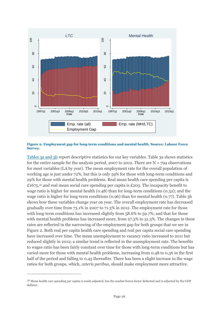

#### <span id="page-25-0"></span>**Figure 2: Employment gap for long-term conditions and mental health. Source: Labour Force Survey.**

Tables [3a and 3b](#page-41-0) report descriptive statistics for our key variables. Table 3a shows statistics for the entire sample for the analysis period, 2007 to 2012. There are  $N = 794$  observations for most variables (LA by year). The mean employment rate for the overall population of working age is just under 72%, but this is only 59% for those with long-term conditions and 29% for those with mental health problems. Real mean health care spending per capita is £1675,<sup>32</sup> and real mean social care spending per capita is £203. The incapacity benefit to wage ratio is higher for mental health (0.48) than for long-term conditions (0.32); and the wage ratio is higher for long-term conditions (0.96) than for mental health (0.77). Table 3b shows how these variables change year on year. The overall employment rate has decreased gradually over time from 73.1% in 2007 to 71.3% in 2012. The employment rate for those with long-term conditions has increased slightly from 58.6% to 59.7%; and that for those with mental health problems has increased more, from 27.3% to 31.3%. The changes in these rates are reflected in the narrowing of the employment gap for both groups that we see in Figure 2. Both real per capita health care spending and real per capita social care spending have increased over time. The mean unemployment to vacancy ratio increased to 2011 but reduced slightly in 2012; a similar trend is reflected in the unemployment rate. The benefits to wages ratio has been fairly constant over time for those with long-term conditions but has varied more for those with mental health problems, increasing from 0.48 to 0.56 in the first half of the period and falling to 0.45 thereafter. There has been a slight increase in the wage ratios for both groups, which, *ceteris paribus*, should make employment more attractive.

<sup>32</sup> Mean health care spending per capita is needs adjusted, has the market forces factor deducted and is adjusted by the GDP deflator.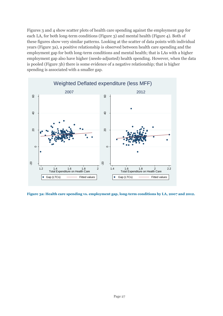Figures 3 and 4 show scatter plots of health care spending against the employment gap for each LA, for both long-term conditions (Figure 3) and mental health (Figure 4). Both of these figures show very similar patterns. Looking at the scatter of data points with individual years [\(Figure 3a](#page-26-0)), a positive relationship is observed between health care spending and the employment gap for both long-term conditions and mental health; that is LAs with a higher employment gap also have higher (needs-adjusted) health spending. However, when the data is pooled [\(Figure](#page-27-0) 3b) there is some evidence of a negative relationship; that is higher spending is associated with a smaller gap.



<span id="page-26-0"></span>**Figure 3a: Health care spending vs. employment gap, long-term conditions by LA, 2007 and 2012.**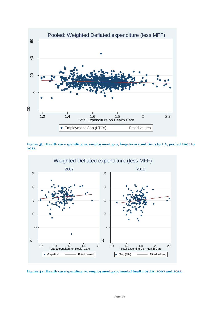![](_page_27_Figure_0.jpeg)

<span id="page-27-0"></span>**Figure 3b: Health care spending vs. employment gap, long-term conditions by LA, pooled 2007 to 2012.**

![](_page_27_Figure_2.jpeg)

![](_page_27_Figure_3.jpeg)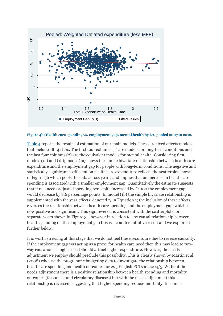![](_page_28_Figure_0.jpeg)

**Figure 4b: Health care spending vs. employment gap, mental health by LA, pooled 2007 to 2012.**

[Table 4](#page-43-0) reports the results of estimation of our main models. These are fixed effects models that include all 141 LAs. The first four columns (1) are models for long-term conditions and the last four columns (2) are the equivalent models for mental health. Considering first models (1a) and (1b); model (1a) shows the simple bivariate relationship between health care expenditure and the employment gap for people with long-term conditions. The negative and statistically significant coefficient on health care expenditure reflects the scatterplot shown in Figure 3b which pools the data across years, and implies that an increase in health care spending is associated with a smaller employment gap. Quantitatively the estimate suggests that if real needs adjusted spending per capita increased by £1000 the employment gap would decrease by 8.6 percentage points. In model (1b) the simple bivariate relationship is supplemented with the year effects, denoted  $\tau_t$  in [Equation 1;](#page-22-1) the inclusion of these effects reverses the relationship between health care spending and the employment gap, which is now positive and significant. This sign reversal is consistent with the scatterplots for separate years shown in Figure 3a, however in relation to any causal relationship between health spending on the employment gap this is a counter-intuitive result and we explore it further below.

It is worth stressing at this stage that we do not feel these results are due to reverse causality. If the employment gap was acting as a proxy for health care need then this may lead to twoway causation as higher need should attract higher expenditure. However, the needs adjustment we employ should preclude this possibility. This is clearly shown by Martin et al. (2008) who use the programme budgeting data to investigate the relationship between health care spending and health outcomes for 295 English PCTs in 2004/5. Without the needs adjustment there is a positive relationship between health spending and mortality outcomes (for cancer and circulatory diseases) but with the needs adjustment this relationship is reversed, suggesting that higher spending reduces mortality. In similar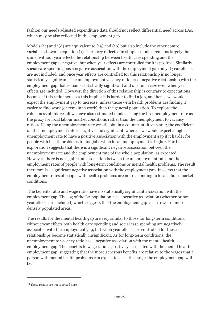fashion our needs adjusted expenditure data should not reflect differential need across LAs, which may be also reflected in the employment gap.

Models (1c) and 1(d) are equivalent to (1a) and (1b) but also include the other control variables shown in equation (1). The story reflected in simpler models remains largely the same; without year effects the relationship between health care spending and the employment gap is negative, but when year effects are controlled for it is positive. Similarly social care spending has a negative association with the employment gap only if year effects are not included, and once year effects are controlled for this relationship is no longer statistically significant. The unemployment vacancy ratio has a negative relationship with the employment gap that remains statistically significant and of similar size even when year effects are included. However, the direction of this relationship is contrary to expectations because if this ratio increases this implies it is harder to find a job, and hence we would expect the employment gap to increase, unless those with health problems are finding it easier to find work (or remain in work) than the general population. To explore the robustness of this result we have also estimated models using the LA unemployment rate as the proxy for local labour market conditions rather than the unemployment to vacancy ratio. <sup>33</sup> Using the unemployment rate we still obtain a counterintuitive result; the coefficient on the unemployment rate is negative and significant, whereas we would expect a higher unemployment rate to have a positive association with the employment gap if it harder for people with health problems to find jobs when local unemployment is higher. Further exploration suggests that there is a significant negative association between the unemployment rate and the employment rate of the whole population, as expected. However, there is no significant association between the unemployment rate and the employment rates of people with long-term conditions or mental health problems. The result therefore is a significant negative association with the employment gap. It seems that the employment rates of people with health problems are not responding to local labour market conditions.

The benefits ratio and wage ratio have no statistically significant association with the employment gap. The log of the LA population has a negative association (whether or not year effects are included) which suggests that the employment gap is narrower in more densely populated areas.

The results for the mental health gap are very similar to those for long-term conditions; without year effects both health care spending and social care spending are negatively associated with the employment gap, but when year effects are controlled for these relationships become statistically insignificant. As for long-term conditions, the unemployment to vacancy ratio has a negative association with the mental health employment gap. The benefits to wage ratio is positively associated with the mental health employment gap, suggesting that the more generous benefits are relative to the wages that a person with mental health problems can expect to earn, the larger the employment gap will be.

<sup>33</sup> These results are not reported here.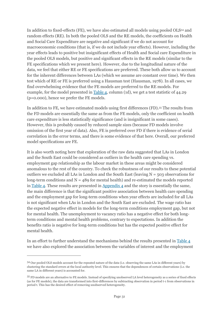In addition to fixed-effects (FE), we have also estimated all models using pooled OLS<sup>34</sup> and random effects (RE). In both the pooled OLS and the RE models, the coefficients on Health and Social Care Expenditure are negative and significant if we do not account for macroeconomic conditions (that is, if we do not include year effects). However, including the year effects leads to positive but insignificant effects of Health and Social care Expenditure in the pooled OLS models, but positive and significant effects in the RE models (similar to the FE specifications which we present here). However, due to the longitudinal nature of the data, we feel that either RE or FE specifications are preferred. These both allow us to account for the inherent differences between LAs (which we assume are constant over time). We then test which of RE or FE is preferred using a Hausman test (Hausman, 1978). In all cases, we find overwhelming evidence that the FE models are preferred to the RE models. For example, for the model presented in [Table 4,](#page-43-0) column (1d), we get a test statistic of 44.29 (p=0.000), hence we prefer the FE models.

In addition to FE, we have estimated models using first differences (FD).<sup>35</sup> The results from the FD models are essentially the same as from the FE models, only the coefficient on health care expenditure is less statistically significance (and is insignificant in some cases). However, this is probably caused by reduced sample sizes (because FD models involve omission of the first year of data). Also, FE is preferred over FD if there is evidence of serial correlation in the error terms, and there is some evidence of that here. Overall, our preferred model specifications are FE.

It is also worth noting here that exploration of the raw data suggested that LAs in London and the South East could be considered as outliers in the health care spending vs. employment gap relationship as the labour market in these areas might be considered anomalous to the rest of the country. To check the robustness of our results to these potential outliers we excluded all LAs in London and the South East (leaving  $N = 503$  observations for long-term conditions and  $N = 489$  for mental health) and re-estimated the models reported in [Table 4.](#page-43-0) These results are presented in [Appendix 4](#page-53-1) and the story is essentially the same, the main difference is that the significant positive association between health care spending and the employment gap for long-term conditions when year effects are included for all LAs is not significant when LAs in London and the South East are excluded. The wage ratio has the expected negative effect in models for the long-term conditions employment gap, but not for mental health. The unemployment to vacancy ratio has a negative effect for both longterm conditions and mental health problems, contrary to expectations. In addition the benefits ratio is negative for long-term conditions but has the expected positive effect for mental health.

In an effort to further understand the mechanisms behind the results presented in [Table 4](#page-43-0) we have also explored the association between the variables of interest and the employment

<sup>34</sup> Our pooled OLS models account for the repeated nature of the data (i.e. observing the same LAs in different years) by clustering the standard errors at the local authority level. This ensures that the dependences of certain observations (i.e. the same LA in different years) is accounted for.

<sup>35</sup> FD models are an alternative to FE models. Instead of specifying unobserved LA level heterogeneity as a series of fixed effects (as for FE models), the data are transformed into first-differences by subtracting observation in period t-1 from observations in period t. This has the desired effect of removing unobserved heterogeneity.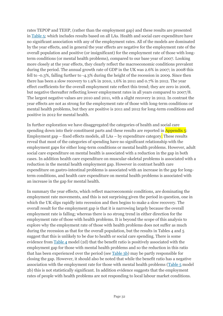rates TEPOP and TEHP, (rather than the employment gap) and these results are presented in [Table 5;](#page-44-0) which includes results based on all LAs. Health and social care expenditure have no significant association with any of the employment rates. All of the models are dominated by the year effects, and in general the year effects are negative for the employment rate of the overall population and positive (or insignificant) for the employment rate of those with longterm conditions (or mental health problems), compared to our base year of 2007. Looking more closely at the year effects, they clearly reflect the macroeconomic conditions prevalent during the period. The annual growth rate of GDP in the UK was 2.6% in 2007; in 2008 this fell to -0.3%, falling further to -4.3% during the height of the recession in 2009. Since then there has been a slow recovery to 1.9% in 2010, 1.6% in 2011 and 0.7% in 2012. The year effect coefficients for the overall employment rate reflect this trend; they are zero in 2008, but negative thereafter reflecting lower employment rates in all years compared to 2007/8. The largest negative values are 2010 and 2011, with a slight recovery in 2012. In contrast the year effects are not as strong for the employment rate of those with long-term conditions or mental health problems, but they are positive is 2011 and 2012 for long-term conditions and positive in 2012 for mental health.

In further exploration we have disaggregated the categories of health and social care spending down into their constituent parts and these results are reported in  $\Delta$ ppendix  $\overline{5}$ : Employment gap – [fixed effects models, all LAs](#page-55-0) – by expenditure category. These results reveal that most of the categories of spending have no significant relationship with the employment gaps for either long-term conditions or mental health problems. However, adult social care expenditure on mental health is associated with a reduction in the gap in both cases. In addition health care expenditure on muscular-skeletal problems is associated with a reduction in the mental health employment gap. However in contrast health care expenditure on gastro-intestinal problems is associated with an increase in the gap for longterm conditions, and health care expenditure on mental health problems is associated with an increase in the gap for mental health.

In summary the year effects, which reflect macroeconomic conditions, are dominating the employment rate movements, and this is not surprising given the period in question, one in which the UK slips rapidly into recession and then begins to make a slow recovery. The overall result for the employment gap is that it is narrowing largely because the overall employment rate is falling; whereas there is no strong trend in either direction for the employment rate of those with health problems. It is beyond the scope of this analysis to explore why the employment rate of those with health problems does not suffer as much during the recession as that for the overall population, but the results in Tables 4 and 5 suggest that this is unlikely to be due to health or social care spending. There is some evidence from [Table 4](#page-43-0) model (2d) that the benefit ratio is positively associated with the employment gap for those with mental health problems and so the reduction in this ratio that has been experienced over the period (see [Table 3b\)](#page-41-0) may be partly responsible for closing the gap. However, it should also be noted that while the benefit ratio has a negative association with the employment rate for those with mental health problems [\(Table 5](#page-44-0) model 2b) this is not statistically significant. In addition evidence suggests that the employment rates of people with health problems are not responding to local labour market conditions.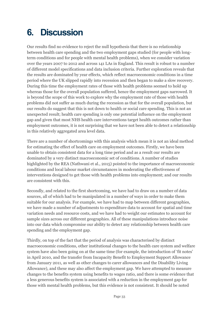# <span id="page-32-0"></span>**6. Discussion**

Our results find no evidence to reject the null hypothesis that there is no relationship between health care spending and the two employment gaps studied (for people with longterm conditions and for people with mental health problems), when we consider variation over the years 2007 to 2012 and across 141 LAs in England. This result is robust to a number of different model specifications and data inclusion criteria. Further exploration reveals that the results are dominated by year effects, which reflect macroeconomic conditions in a time period where the UK slipped rapidly into recession and then began to make a slow recovery. During this time the employment rates of those with health problems seemed to hold up whereas those for the overall population suffered, hence the employment gaps narrowed. It is beyond the scope of this work to explore why the employment rate of those with health problems did not suffer as much during the recession as that for the overall population, but our results do suggest that this is not down to health or social care spending. This is not an unexpected result; health care spending is only one potential influence on the employment gap and given that most NHS health care interventions target health outcomes rather than employment outcomes, it is not surprising that we have not been able to detect a relationship in this relatively aggregated area level data.

There are a number of shortcomings with this analysis which mean it is not an ideal method for estimating the effect of health care on employment outcomes. Firstly, we have been unable to obtain consistent data for a long time period and as a result our results are dominated by a very distinct macroeconomic set of conditions. A number of studies highlighted by the REA (Nathwani et al., 2015) pointed to the importance of macroeconomic conditions and local labour market circumstances in moderating the effectiveness of interventions designed to get those with health problems into employment; and our results are consistent with this.

Secondly, and related to the first shortcoming, we have had to draw on a number of data sources, all of which had to be manipulated in a number of ways in order to make them suitable for our analysis. For example, we have had to map between different geographies, we have made a number of adjustments to expenditure data to account for spatial and time variation needs and resource costs, and we have had to weight our estimates to account for sample sizes across our different geographies. All of these manipulations introduce noise into our data which compromise our ability to detect any relationship between health care spending and the employment gap.

Thirdly, on top of the fact that the period of analysis was characterised by distinct macroeconomic conditions, other institutional changes to the health care system and welfare system have also been going on at the same time (for example, the introduction of 'fit notes' in April 2010, and the transfer from Incapacity Benefit to Employment Support Allowance from January 2011, as well as other changes to carer allowances and the Disability Living Allowance), and these may also affect the employment gap. We have attempted to measure changes to the benefits system using benefits to wages ratio, and there is some evidence that a less generous benefits system is associated with a reduction in the employment gap for those with mental health problems, but this evidence is not consistent. It should be noted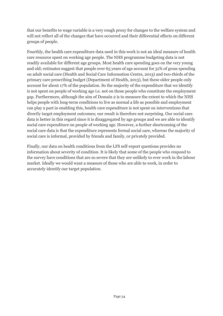that our benefits to wage variable is a very rough proxy for changes to the welfare system and will not reflect all of the changes that have occurred and their differential effects on different groups of people.

Fourthly, the health care expenditure data used in this work is not an ideal measure of health care resource spent on working age people. The NHS programme budgeting data is not readily available for different age groups. Most health care spending goes on the very young and old; estimates suggest that people over 65 years of age account for 51% of gross spending on adult social care (Health and Social Care Information Centre, 2013) and two-thirds of the primary care prescribing budget (Department of Health, 2013), but these older people only account for about 17% of the population. So the majority of the expenditure that we identify is not spent on people of working age i.e. not on those people who constitute the employment gap. Furthermore, although the aim of Domain 2 is to measure the extent to which the NHS helps people with long-term conditions to live as normal a life as possible and employment can play a part in enabling this, health care expenditure is not spent on interventions that directly target employment outcomes; our result is therefore not surprising. Our social care data is better in this regard since it is disaggregated by age groups and we are able to identify social care expenditure on people of working age. However, a further shortcoming of the social care data is that the expenditure represents formal social care, whereas the majority of social care is informal, provided by friends and family, or privately provided.

Finally, our data on health conditions from the LFS self-report questions provides no information about severity of condition. It is likely that some of the people who respond to the survey have conditions that are so severe that they are unlikely to ever work in the labour market. Ideally we would want a measure of those who are able to work, in order to accurately identify our target population.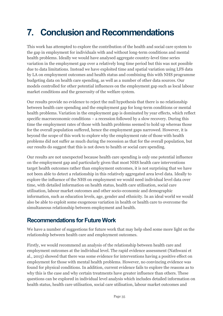# <span id="page-34-0"></span>**7. Conclusion and Recommendations**

This work has attempted to explore the contribution of the health and social care system to the gap in employment for individuals with and without long-term conditions and mental health problems. Ideally we would have analysed aggregate country-level time series variation in the employment gap over a relatively long time period but this was not possible due to data limitations. Instead we have exploited time and spatial variation using LFS data by LA on employment outcomes and health status and combining this with NHS programme budgeting data on health care spending, as well as a number of other data sources. Our models controlled for other potential influences on the employment gap such as local labour market conditions and the generosity of the welfare system.

Our results provide no evidence to reject the null hypothesis that there is no relationship between health care spending and the employment gap for long-term conditions or mental health problems. Variation in the employment gap is dominated by year effects, which reflect specific macroeconomic conditions – a recession followed by a slow recovery. During this time the employment rates of those with health problems seemed to hold up whereas those for the overall population suffered, hence the employment gaps narrowed. However, it is beyond the scope of this work to explore why the employment rate of those with health problems did not suffer as much during the recession as that for the overall population, but our results do suggest that this is not down to health or social care spending.

Our results are not unexpected because health care spending is only one potential influence on the employment gap and particularly given that most NHS health care interventions target health outcomes rather than employment outcomes, it is not surprising that we have not been able to detect a relationship in this relatively aggregated area level data. Ideally to explore the influence of the NHS on employment we would need individual level data over time, with detailed information on health status, health care utilisation, social care utilisation, labour market outcomes and other socio-economic and demographic information, such as education levels, age, gender and ethnicity. In an ideal world we would also be able to exploit some exogenous variation in health or health care to overcome the simultaneous relationship between employment and health.

#### <span id="page-34-1"></span>**Recommendations for Future Work**

We have a number of suggestions for future work that may help shed some more light on the relationship between health care and employment outcomes.

Firstly, we would recommend an analysis of the relationship between health care and employment outcomes at the individual level. The rapid evidence assessment (Nathwani et al., 2015) showed that there was some evidence for interventions having a positive effect on employment for those with mental health problems. However, no convincing evidence was found for physical conditions. In addition, current evidence fails to explore the reasons as to why this is the case and why certain treatments have greater influence than others. These questions can be explored in individual level analysis which includes detailed information on health status, health care utilisation, social care utilisation, labour market outcomes and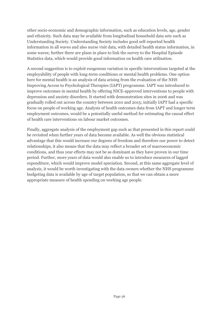other socio-economic and demographic information, such as education levels, age, gender and ethnicity. Such data may be available from longitudinal household data sets such as Understanding Society. Understanding Society includes good self-reported health information in all waves and also nurse visit data, with detailed health status information, in some waves; further there are plans in place to link the survey to the Hospital Episode Statistics data, which would provide good information on health care utilisation.

A second suggestion is to exploit exogenous variation in specific interventions targeted at the employability of people with long-term conditions or mental health problems. One option here for mental health is an analysis of data arising from the evaluation of the NHS Improving Access to Psychological Therapies (IAPT) programme. IAPT was introduced to improve outcomes in mental health by offering NICE-approved interventions to people with depression and anxiety disorders. It started with demonstration sites in 2006 and was gradually rolled out across the country between 2010 and 2015; initially IAPT had a specific focus on people of working age. Analysis of health outcomes data from IAPT and longer term employment outcomes, would be a potentially useful method for estimating the causal effect of health care interventions on labour market outcomes.

Finally, aggregate analysis of the employment gap such as that presented in this report could be revisited when further years of data become available. As well the obvious statistical advantage that this would increase our degrees of freedom and therefore our power to detect relationships, it also means that the data may reflect a broader set of macroeconomic conditions, and thus year effects may not be as dominant as they have proven in our time period. Further, more years of data would also enable us to introduce measures of lagged expenditure, which would improve model speciation. Second, at this same aggregate level of analysis, it would be worth investigating with the data owners whether the NHS programme budgeting data is available by age of target population, so that we can obtain a more appropriate measure of health spending on working age people.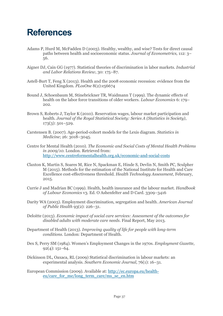#### <span id="page-36-0"></span>**References**

- Adams P, Hurd M, McFadden D (2003). Healthy, wealthy, and wise? Tests for direct causal paths between health and socioeconomic status. *Journal of Econometrics,* 112: 3– 56.
- Aigner DJ, Cain GG (1977). Statistical theories of discrimination in labor markets. *Industrial and Labor Relations Review*, 30: 175–87.
- Astell-Burt T, Feng X (2013). Health and the 2008 economic recession: evidence from the United Kingdom. *PLosOne* 8(2):e56674
- Bound J, Schoenbaum M, Stinebrickner TR, Waidmann T (1999). The dynamic effects of health on the labor force transitions of older workers. *Labour Economics* 6: 179– 202.
- Brown S, Roberts J, Taylor K (2010). Reservation wages, labour market participation and health. *Journal of the Royal Statistical Society: Series A (Statistics in Society)*,  $173(3)$ : 501–529.
- Carstensen B. (2007). Age-period-cohort models for the Lexis diagram. *Statistics in Medicine*; 26: 3018–3045.
- Centre for Mental Health (2010). *The Economic and Social Costs of Mental Health Problems in 2009/10.* London. Retrieved from: <http://www.centreformentalhealth.org.uk/economic-and-social-costs>
- Claxton K, Martin S, Soares M, Rice N, Spackman E, Hinde S, Devlin N, Smith PC, Sculpher M (2015). Methods for the estimation of the National Institute for Health and Care Excellence cost-effectiveness threshold. *Health Technology Assessment*, February, 2015.
- Currie J and Madrian BC (1999). Health, health insurance and the labour market. *Handbook of Labour Economics* v3. Ed. O Ashenfelter and D Card. 3309–3416
- Darity WA (2003). Employment discrimination, segregation and health. *American Journal of Public Health* 93(2): 226–31.
- Deloitte (2013). *Economic impact of social care services: Assessment of the outcomes for disabled adults with moderate care needs*. Final Report, May 2013.
- Department of Health (2013). *Improving quality of life for people with long-term conditions*. London: Department of Health.
- Dex S, Perry SM (1984). Women's Employment Changes in the 1970s. *Employment Gazette*, 92(4): 151–64.
- Dickinson DL, Oaxaca, RL (2009) Statistical discrimination in labour markets: an experimental analysis. *Southern Economic Journal*, 76(1): 16–31.
- European Commission (2009). Available at: [http://ec.europa.eu/health](http://ec.europa.eu/health-eu/care_for_me/long_term_care/ms_se_en.htm)[eu/care\\_for\\_me/long\\_term\\_care/ms\\_se\\_en.htm](http://ec.europa.eu/health-eu/care_for_me/long_term_care/ms_se_en.htm)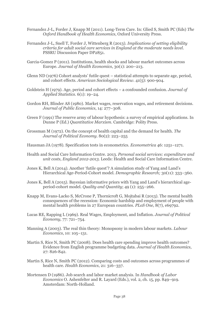- Fernandez J-L, Forder J, Knapp M (2011). Long-Term Care. In: Glied S, Smith PC (Eds) *The Oxford Handbook of Health Economics*, Oxford University Press.
- Fernandez J-L, Snell T, Forder J, Wittenberg R (2013). *Implications of setting eligibility criteria for adult social care services in England at the moderate needs level*. PSSRU Discussion Paper DP2851.
- Garcia-Gomez P (2011). Institutions, health shocks and labour market outcomes across Europe. *Journal of Health Economics*, 30(1): 200–213.
- Glenn ND (1976) Cohort analysts' futile quest statistical attempts to separate age, period, and cohort effects. *American Sociological Review.* 41(5): 900-904.
- Goldstein H (1979). Age, period and cohort effects a confounded confusion. *Journal of Applied Statistics.* 6(1): 19–24.
- Gordon RH, Blinder AS (1980). Market wages, reservation wages, and retirement decisions. *Journal of Public Economics*, 14: 277–308.
- Green F (1991) The reserve army of labour hypothesis: a survey of empirical applications. In Dunne P (Ed.) *Quantitative Marxism*. Cambridge: Polity Press.
- Grossman M (1972). On the concept of health capital and the demand for health. *The Journal of Political Economy*. 80(2): 223–255
- Hausman JA (1978). Specification tests in econometrics. *Econometrica* 46: 1251–1271.
- Health and Social Care Information Centre. 2013. *Personal social services: expenditure and unit costs, England 2012-2013.* Leeds: Health and Social Care Information Centre.
- Jones K, Bell A (2014). Another 'futile quest'? A simulation study of Yang and Land's Hierarchical Age-Period-Cohort model. *Demographic Research;* 30(11): 333–360.
- Jones K, Bell A (2015). Bayesian informative priors with Yang and Land's hierarchical ageperiod-cohort model. *Quality and Quantity*; 49 (1): 255–266.
- Knapp M, Evans-Lacko S, McCrone P, Thornicroft G, Mojtabai R (2013). The mental health consequences of the recession: Economic hardship and employment of people with mental health problems in 27 European countries. *PLoS One,* 8(7), e69792.
- Lucas RE, Rapping L (1969). Real Wages, Employment, and Inflation. *Journal of Political Economy*, 77: 721–754.
- Manning A (2003). The real thin theory: Monopsony in modern labour markets. *Labour Economics*, 10: 105–131.
- Martin S, Rice N, Smith PC (2008). Does health care spending improve health outcomes? Evidence from English programme budgeting data. *Journal of Health Economics*, 27: 826-842.
- Martin S, Rice N, Smith PC (2012). Comparing costs and outcomes across programmes of health care. *Health Economics*, 21: 316–337.
- Mortensen D (1986). Job search and labor market analysis. In *Handbook of Labor Economics* O. Ashenfelter and R. Layard (Eds.), vol. 2, ch. 15, pp. 849–919. Amsterdam: North-Holland.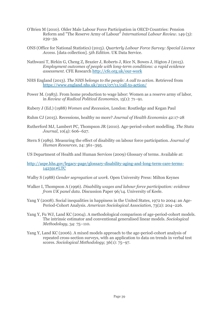- O'Brien M (2010). Older Male Labour Force Participation in OECD Countries: Pension Reform and "The Reserve Army of Labour" *International Labour Review*. 149 (3): 239–59.
- ONS (Office for National Statistics) (2015). *Quarterly Labour Force Survey: Special Licence Access*. [data collection]. 5*th Edition.* UK Data Service.
- Nathwani T, Birkin G, Cheng Z, Brazier J, Roberts J, Rice N, Bowes J, Higton J (2015). *Employment outcomes of people with long-term conditions: a rapid evidence assessment.* CFE Research<http://cfe.org.uk/our-work>
- NHS England (2013). *The NHS belongs to the people: A call to action.* Retrieved from <https://www.england.nhs.uk/2013/07/11/call-to-action/>
- Power M. (1983). From home production to wage labor: Women as a reserve army of labor, in *Review of Radical Political Economics*, 15(1): 71–91.
- Rubery J (Ed.) (1988) *Women and Recession,* London: Routledge and Kegan Paul
- Ruhm CJ (2015). Recessions, healthy no more? *Journal of Health Economics* 42:17-28
- Rutherford MJ, Lambert PC, Thompson JR (2010). Age-period-cohort modelling. *The Stata Journal*, 10(4): 606–627.
- Stern S (1989). Measuring the effect of disability on labour force participation. *Journal of Human Resources*, 24: 361–395.
- US Department of Health and Human Services (2009) Glossary of terms. Available at:
- [http://aspe.hhs.gov/legacy-page/glossary-disability-aging-and-long-term-care-terms-](http://aspe.hhs.gov/legacy-page/glossary-disability-aging-and-long-term-care-terms-142591#LTC)[142591#LTC](http://aspe.hhs.gov/legacy-page/glossary-disability-aging-and-long-term-care-terms-142591#LTC)
- Walby S (1988) *Gender segregation at work.* Open University Press: Milton Keynes
- Walker I, Thompson A (1996). *Disability wages and labour force participation: evidence from UK panel data*. Discussion Paper 96/14. University of Keele.
- Yang Y (2008). Social inequalities in happiness in the United States, 1972 to 2004: an Age-Period-Cohort Analysis. *American Sociological Association*, 73(2): 204–226.
- Yang Y, Fu WJ, Land KC (2004). A methodological comparison of age-period-cohort models. The intrinsic estimator and conventional generalised linear models. *Sociological Methodology*, 34: 75–110.
- Yang Y, Land KC (2006). A mixed models approach to the age-period-cohort analysis of repeated cross-section surveys, with an application to data on trends in verbal test scores. *Sociological Methodology*; 36(1): 75–97.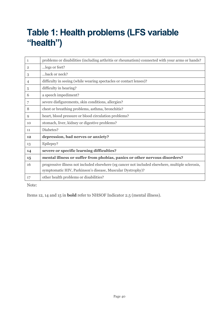### <span id="page-39-0"></span>**Table 1: Health problems (LFS variable "health")**

| 1              | problems or disabilities (including arthritis or rheumatism) connected with your arms or hands?                                                                 |
|----------------|-----------------------------------------------------------------------------------------------------------------------------------------------------------------|
| $\overline{2}$ | legs or feet?                                                                                                                                                   |
| 3              | back or neck?                                                                                                                                                   |
| 4              | difficulty in seeing (while wearing spectacles or contact lenses)?                                                                                              |
| 5              | difficulty in hearing?                                                                                                                                          |
| 6              | a speech impediment?                                                                                                                                            |
| 7              | severe disfigurements, skin conditions, allergies?                                                                                                              |
| 8              | chest or breathing problems, asthma, bronchitis?                                                                                                                |
| 9              | heart, blood pressure or blood circulation problems?                                                                                                            |
| 10             | stomach, liver, kidney or digestive problems?                                                                                                                   |
| 11             | Diabetes?                                                                                                                                                       |
| 12             | depression, bad nerves or anxiety?                                                                                                                              |
| 13             | Epilepsy?                                                                                                                                                       |
| 14             | severe or specific learning difficulties?                                                                                                                       |
| 15             | mental illness or suffer from phobias, panics or other nervous disorders?                                                                                       |
| 16             | progressive illness not included elsewhere (eg cancer not included elsewhere, multiple sclerosis,<br>symptomatic HIV, Parkinson's disease, Muscular Dystrophy)? |
| 17             | other health problems or disabilities?                                                                                                                          |

Note:

Items 12, 14 and 15 in **bold** refer to NHSOF Indicator 2.5 (mental illness).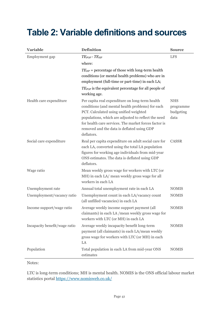#### <span id="page-40-0"></span>**Table 2: Variable definitions and sources**

| <b>Variable</b>               | Definition                                                                                                                                                                                                                                                                                                                | <b>Source</b>                                |
|-------------------------------|---------------------------------------------------------------------------------------------------------------------------------------------------------------------------------------------------------------------------------------------------------------------------------------------------------------------------|----------------------------------------------|
| Employment gap                | $TE_{POP}$ - $TE_{HP}$                                                                                                                                                                                                                                                                                                    | <b>LFS</b>                                   |
|                               | where:                                                                                                                                                                                                                                                                                                                    |                                              |
|                               | $TE_{HP}$ = percentage of those with long-term health<br>conditions (or mental health problems) who are in<br>employment (full-time or part-time) in each LA;                                                                                                                                                             |                                              |
|                               | $TE_{POP}$ is the equivalent percentage for all people of<br>working age.                                                                                                                                                                                                                                                 |                                              |
| Health care expenditure       | Per capita real expenditure on long-term health<br>conditions (and mental health problems) for each<br>PCT. Calculated using unified weighted<br>populations, which are adjusted to reflect the need<br>for health care services. The market forces factor is<br>removed and the data is deflated using GDP<br>deflators. | <b>NHS</b><br>programme<br>budgeting<br>data |
| Social care expenditure       | Real per capita expenditure on adult social care for<br>each LA, converted using the total LA population<br>figures for working age individuals from mid-year<br>ONS estimates. The data is deflated using GDP<br>deflators.                                                                                              | CASSR                                        |
| Wage ratio                    | Mean weekly gross wage for workers with LTC (or<br>MH) in each LA/ mean weekly gross wage for all<br>workers in each LA                                                                                                                                                                                                   |                                              |
| Unemployment rate             | Annual total unemployment rate in each LA                                                                                                                                                                                                                                                                                 | <b>NOMIS</b>                                 |
| Unemployment/vacancy ratio    | Unemployment count in each LA/vacancy count<br>(all unfilled vacancies) in each LA                                                                                                                                                                                                                                        | <b>NOMIS</b>                                 |
| Income support/wage ratio     | Average weekly income support payment (all<br>claimants) in each LA/mean weekly gross wage for<br>workers with LTC (or MH) in each LA                                                                                                                                                                                     | <b>NOMIS</b>                                 |
| Incapacity benefit/wage ratio | Average weekly incapacity benefit long-term<br>payment (all claimants) in each LA/mean weekly<br>gross wage for workers with LTC (or MH) in each<br>LA                                                                                                                                                                    | <b>NOMIS</b>                                 |
| Population                    | Total population in each LA from mid-year ONS<br>estimates                                                                                                                                                                                                                                                                | <b>NOMIS</b>                                 |

Notes:

LTC is long-term conditions; MH is mental health. NOMIS is the ONS official labour market statistics portal <https://www.nomisweb.co.uk/>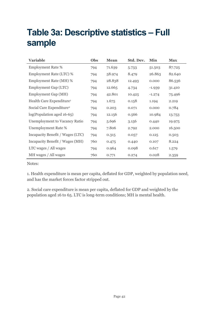### <span id="page-41-0"></span>**Table 3a: Descriptive statistics – Full sample**

| <b>Variable</b>                      | Obs | <b>Mean</b> | Std. Dev. | Min      | <b>Max</b> |
|--------------------------------------|-----|-------------|-----------|----------|------------|
| <b>Employment Rate %</b>             | 794 | 71.639      | 5.733     | 51.503   | 87.725     |
| Employment Rate (LTC) %              | 794 | 58.974      | 8.479     | 26.863   | 82.640     |
| Employment Rate (MH) %               | 794 | 28.838      | 12.493    | 0.000    | 86.536     |
| Employment Gap (LTC)                 | 794 | 12.665      | 4.734     | $-1.939$ | 31.410     |
| Employment Gap (MH)                  | 794 | 42.801      | 10.425    | $-1.274$ | 75.496     |
| Health Care Expenditure <sup>1</sup> | 794 | 1.675       | 0.158     | 1.194    | 2.219      |
| Social Care Expenditure <sup>2</sup> | 794 | 0.203       | 0.071     | 0.000    | 0.784      |
| log(Population aged 16-65)           | 794 | 12.156      | 0.566     | 10.984   | 13.753     |
| <b>Unemployment to Vacancy Ratio</b> | 794 | 5.696       | 3.156     | 0.440    | 19.975     |
| Unemployment Rate %                  | 794 | 7.806       | 2.792     | 2.000    | 16.500     |
| Incapacity Benefit / Wages (LTC)     | 794 | 0.315       | 0.057     | 0.125    | 0.503      |
| Incapacity Benefit / Wages (MH)      | 760 | 0.475       | 0.440     | 0.107    | 8.224      |
| LTC wages / All wages                | 794 | 0.964       | 0.098     | 0.617    | 1.579      |
| MH wages / All wages                 | 760 | 0.771       | 0.274     | 0.028    | 2.359      |

Notes:

1. Health expenditure is mean per capita, deflated for GDP, weighted by population need, and has the market forces factor stripped out.

2. Social care expenditure is mean per capita, deflated for GDP and weighted by the population aged 16 to 65. LTC is long-term conditions; MH is mental health.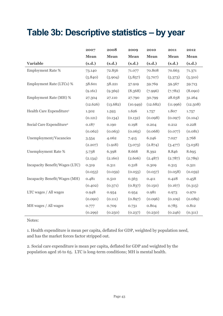### <span id="page-42-0"></span>**Table 3b: Descriptive statistics – by year**

|                                      | 2007     | 2008     | 2009     | 2010     | 2011     | 2012     |
|--------------------------------------|----------|----------|----------|----------|----------|----------|
|                                      | Mean     | Mean     | Mean     | Mean     | Mean     | Mean     |
| <b>Variable</b>                      | (s.d.)   | (s.d.)   | (s.d.)   | (s.d.)   | (s.d.)   | (s.d.)   |
| <b>Employment Rate %</b>             | 73.140   | 72.856   | 71.077   | 70.808   | 70.663   | 71.371   |
|                                      | (5.840)  | (5.904)  | (5.857)  | (5.707)  | (5.373)  | (5.310)  |
| Employment Rate (LTCs) %             | 58.601   | 58.221   | 57.919   | 59.769   | 59.567   | 59.713   |
|                                      | (9.161)  | (9.369)  | (8.368)  | (7.996)  | (7.782)  | (8.090)  |
| Employment Rate (MH) %               | 27.304   | 27.110   | 27.790   | 30.799   | 28.638   | 31.264   |
|                                      | (12.626) | (13.682) | (10.949) | (12.682) | (11.996) | (12.508) |
| Health Care Expenditure <sup>1</sup> | 1.502    | 1.593    | 1.626    | 1.757    | 1.807    | 1.757    |
|                                      | (0.121)  | (0.134)  | (0.132)  | (0.098)  | (0.097)  | (0.104)  |
| Social Care Expenditure <sup>2</sup> | 0.187    | 0.190    | 0.198    | 0.204    | 0.212    | 0.228    |
|                                      | (0.062)  | (0.063)  | (0.065)  | (0.068)  | (0.077)  | (0.081)  |
| Unemployment/Vacancies               | 3.554    | 4.062    | 7.415    | 6.246    | 7.027    | 5.768    |
|                                      | (2.207)  | (1.918)  | (3.073)  | (2.874)  | (3.477)  | (3.038)  |
| <b>Unemployment Rate %</b>           | 5.738    | 6.398    | 8.668    | 8.392    | 8.846    | 8.695    |
|                                      | (2.134)  | (2.160)  | (2.606)  | (2.487)  | (2.787)  | (2.789)  |
| Incapacity Benefit/Wages (LTC)       | 0.319    | 0.311    | 0.318    | 0.309    | 0.315    | 0.321    |
|                                      | (0.053)  | (0.059)  | (0.055)  | (0.057)  | (0.058)  | (0.059)  |
| Incapacity Benefit/Wages (MH)        | 0.481    | 0.510    | 0.563    | 0.411    | 0.428    | 0.458    |
|                                      | (0.402)  | (0.371)  | (0.837)  | (0.150)  | (0.167)  | (0.315)  |
| LTC wages / All wages                | 0.948    | 0.954    | 0.954    | 0.981    | 0.973    | 0.970    |
|                                      | (0.090)  | (0.111)  | (0.897)  | (0.096)  | (0.109)  | (0.089)  |
| MH wages / All wages                 | 0.777    | 0.709    | 0.731    | 0.804    | 0.785    | 0.812    |
|                                      | (0.299)  | (0.250)  | (0.237)  | (0.250)  | (0.246)  | (0.311)  |

#### Notes:

 $\overline{a}$ 

1. Health expenditure is mean per capita, deflated for GDP, weighted by population need, and has the market forces factor stripped out.

2. Social care expenditure is mean per capita, deflated for GDP and weighted by the population aged 16 to 65. LTC is long-term conditions; MH is mental health.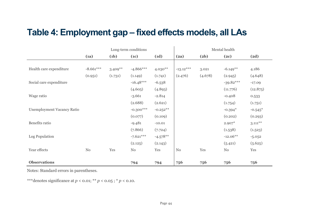#### **Table 4: Employment gap – fixed effects models, all LAs**

|                                   |             |            | Long-term conditions |            |             |         | Mental health |            |
|-----------------------------------|-------------|------------|----------------------|------------|-------------|---------|---------------|------------|
|                                   | (a)         | (b)        | (1c)                 | (d)        | (2a)        | (2b)    | (2c)          | (2d)       |
|                                   |             |            |                      |            |             |         |               |            |
| Health care expenditure           | $-8.661***$ | $3.409***$ | $-4.866***$          | $4.030**$  | $-13.12***$ | 3.021   | $-6.149**$    | 4.186      |
|                                   | (0.951)     | (1.731)    | (1.149)              | (1.741)    | (2.476)     | (4.678) | (2.945)       | (4.648)    |
| Social care expenditure           |             |            | $-16.48***$          | $-6.538$   |             |         | $-39.82***$   | $-17.09$   |
|                                   |             |            | (4.605)              | (4.893)    |             |         | (11.776)      | (12.875)   |
| Wage ratio                        |             |            | $-3.661$             | $-2.814$   |             |         | $-0.408$      | 0.533      |
|                                   |             |            | (2.688)              | (2.621)    |             |         | (1.754)       | (1.751)    |
| <b>Unemployment Vacancy Ratio</b> |             |            | $-0.300***$          | $-0.252**$ |             |         | $-0.394*$     | $-0.545*$  |
|                                   |             |            | (0.077)              | (0.109)    |             |         | (0.202)       | (0.293)    |
| Benefits ratio                    |             |            | $-9.481$             | $-10.01$   |             |         | $2.907*$      | $3.111***$ |
|                                   |             |            | (7.866)              | (7.724)    |             |         | (1.538)       | (1.523)    |
| Log Population                    |             |            | $-7.621***$          | $-4.578**$ |             |         | $-12.06**$    | $-5.052$   |
|                                   |             |            | (2.125)              | (2.143)    |             |         | (5.421)       | (5.625)    |
| Year effects                      | No          | Yes        | $\rm No$             | Yes        | No          | Yes     | No            | Yes        |
|                                   |             |            |                      |            |             |         |               |            |
| <b>Observations</b>               |             |            | 794                  | 794        | 756         | 756     | 756           | 756        |

<span id="page-43-0"></span>Notes: Standard errors in parentheses.

\*\*\*denotes significance at *p* < 0.01; \*\* *p* < 0.05 ; \* *p* < 0.10.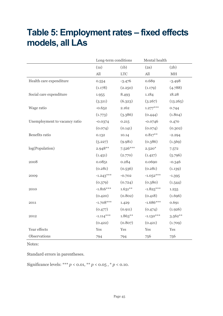### <span id="page-44-0"></span>**Table 5: Employment rates – fixed effects models, all LAs**

|                               |             | Long-term conditions |             | Mental health              |
|-------------------------------|-------------|----------------------|-------------|----------------------------|
|                               | (a)         | (b)                  | (2a)        | (2b)                       |
|                               | $\rm All$   | <b>LTC</b>           | All         | $\mathop{\rm MH}\nolimits$ |
| Health care expenditure       | 0.554       | $-3.476$             | 0.689       | $-3.498$                   |
|                               | (1.178)     | (2.250)              | (1.179)     | (4.788)                    |
| Social care expenditure       | 1.955       | 8.493                | 1.184       | 18.28                      |
|                               | (3.311)     | (6.323)              | (3.267)     | (13.265)                   |
| Wage ratio                    | $-0.652$    | 2.162                | $1.277***$  | 0.744                      |
|                               | (1.773)     | (3.386)              | (0.444)     | (1.804)                    |
| Unemployment to vacancy ratio | $-0.0374$   | 0.215                | $-0.0746$   | 0.470                      |
|                               | (0.074)     | (0.141)              | (0.074)     | (0.302)                    |
| Benefits ratio                | 0.132       | 10.14                | $0.817***$  | $-2.294$                   |
|                               | (5.227)     | (9.981)              | (0.386)     | (1.569)                    |
| log(Population)               | $2.948**$   | $7.526***$           | $2.520*$    | 7.572                      |
|                               | (1.451)     | (2.770)              | (1.427)     | (5.796)                    |
| 2008                          | 0.0851      | 0.284                | 0.0690      | $-0.346$                   |
|                               | (0.281)     | (0.536)              | (0.281)     | (1.139)                    |
| 2009                          | $-1.243***$ | $-0.702$             | $-1.052***$ | $-1.395$                   |
|                               | (0.379)     | (0.724)              | (0.380)     | (1.544)                    |
| 2010                          | $-1.816***$ | $1.631***$           | $-1.825***$ | 1.255                      |
|                               | (0.420)     | (0.802)              | (0.418)     | (1.696)                    |
| 2011                          | $-1.708***$ | 1.429                | $-1.686***$ | 0.691                      |
|                               | (0.477)     | (0.911)              | (0.474)     | (1.926)                    |
| 2012                          | $-1.114***$ | $1.863***$           | $-1.130***$ | $3.562***$                 |
|                               | (0.422)     | (0.807)              | (0.421)     | (1.709)                    |
| Year effects                  | Yes         | Yes                  | Yes         | Yes                        |
| Observations                  | 794         | 794                  | 756         | 756                        |

Notes:

Standard errors in parentheses.

Significance levels: \*\*\* *p* < 0.01, \*\* *p* < 0.05 , \* *p* < 0.10.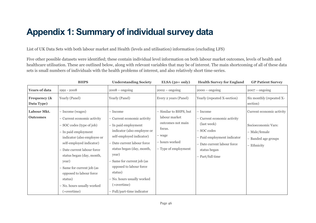### **Appendix 1: Summary of individual survey data**

List of UK Data Sets with both labour market and Health (levels and utilisation) information (excluding LFS)

Five other possible datasets were identified; these contain individual level information on both labour market outcomes, levels of health and healthcare utilisation. These are outlined below, along with relevant variables that may be of interest. The main shortcoming of all of these data sets is small numbers of individuals with the health problems of interest, and also relatively short time-series.

<span id="page-45-0"></span>

|                                       | <b>BHPS</b>                                                                                                                                                                                                                                                                                                                                         | <b>Understanding Society</b>                                                                                                                                                                                                                                                                                                                 | $ELSA(50+only)$                                                                                                            | <b>Health Survey for England</b>                                                                                                                                        | <b>GP Patient Survey</b>                                                                                |
|---------------------------------------|-----------------------------------------------------------------------------------------------------------------------------------------------------------------------------------------------------------------------------------------------------------------------------------------------------------------------------------------------------|----------------------------------------------------------------------------------------------------------------------------------------------------------------------------------------------------------------------------------------------------------------------------------------------------------------------------------------------|----------------------------------------------------------------------------------------------------------------------------|-------------------------------------------------------------------------------------------------------------------------------------------------------------------------|---------------------------------------------------------------------------------------------------------|
| <b>Years of data</b>                  | 1991 - 2008                                                                                                                                                                                                                                                                                                                                         | $2008 -$ ongoing                                                                                                                                                                                                                                                                                                                             | $2002 -$ ongoing                                                                                                           | $2000 -$ ongoing                                                                                                                                                        | $2007 -$ ongoing                                                                                        |
| <b>Frequency (&amp;</b><br>Data Type) | Yearly (Panel)                                                                                                                                                                                                                                                                                                                                      | Yearly (Panel)                                                                                                                                                                                                                                                                                                                               | Every 2 years (Panel)                                                                                                      | Yearly (repeated X-section)                                                                                                                                             | Six monthly (repeated X-<br>section)                                                                    |
| Labour Mkt.<br><b>Outcomes</b>        | - Income (wages)<br>- Current economic activity<br>- SOC codes (type of job)<br>- In paid employment<br>indicator (also employee or<br>self-employed indicator)<br>- Date current labour force<br>status began (day, month,<br>year)<br>Same for current job (as<br>opposed to labour force<br>status)<br>- No. hours usually worked<br>(+overtime) | - Income<br>- Current economic activity<br>- In paid employment<br>indicator (also employee or<br>self-employed indicator)<br>- Date current labour force<br>status began (day, month,<br>year)<br>Same for current job (as<br>opposed to labour force<br>status)<br>- No. hours usually worked<br>(+overtime)<br>- Full/part-time indicator | - Similar to BHPS, but<br>labour market<br>outcomes not main<br>focus.<br>- wage<br>- hours worked<br>- Type of employment | - Income<br>- Current economic activity<br>(last week)<br>- SOC codes<br>- Paid employment indicator<br>- Date current labour force<br>status began<br>- Part/full time | Current economic activity<br>Socioeconomic Vars:<br>- Male/female<br>- Banded age groups<br>- Ethnicity |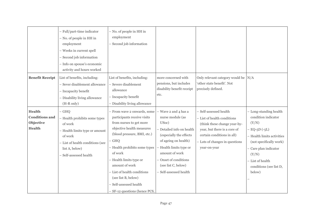|                                                                      | - Full/part-time indicator<br>- No. of people in HH in<br>employment<br>- Weeks in current spell<br>- Second job information<br>- Info on spouse's economic<br>activity and hours worked | - No. of people in HH in<br>employment<br>Second job information                                                                                                                                                                                                                                                                                                 |                                                                                                                                                                                                                                                      |                                                                                                                                                                                                       |                                                                                                                                                                                                                               |
|----------------------------------------------------------------------|------------------------------------------------------------------------------------------------------------------------------------------------------------------------------------------|------------------------------------------------------------------------------------------------------------------------------------------------------------------------------------------------------------------------------------------------------------------------------------------------------------------------------------------------------------------|------------------------------------------------------------------------------------------------------------------------------------------------------------------------------------------------------------------------------------------------------|-------------------------------------------------------------------------------------------------------------------------------------------------------------------------------------------------------|-------------------------------------------------------------------------------------------------------------------------------------------------------------------------------------------------------------------------------|
| <b>Benefit Receipt</b>                                               | List of benefits, including:<br>- Sever disablement allowance<br>- Incapacity benefit<br>- Disability living allowance<br>$(H-R only)$                                                   | List of benefits, including:<br>Severe disablement<br>allowance<br>- Incapacity benefit<br>- Disability living allowance                                                                                                                                                                                                                                         | more concerned with<br>pensions, but includes<br>disability benefit receipt<br>etc.                                                                                                                                                                  | Only relevant category would be N/A<br>'other state benefit'. Not<br>precisely defined.                                                                                                               |                                                                                                                                                                                                                               |
| <b>Health</b><br><b>Conditions</b> and<br>Objective<br><b>Health</b> | $-$ GHQ<br>- Health prohibits some types<br>of work<br>- Health limits type or amount<br>of work<br>- List of health conditions (see<br>list A, below)<br>Self-assessed health           | - From wave 2 onwards, some<br>participants receive visits<br>from nurses to get more<br>objective health measures<br>(blood pressure, BMI, etc.)<br>GHQ<br>- Health prohibits some types<br>of work<br>- Health limits type or<br>amount of work<br>- List of health conditions<br>(see list B, below)<br>Self-assessed health<br>- SF-12 questions (hence PCS, | - Wave 2 and 4 has a<br>nurse module (as<br>USoc)<br>- Detailed info on health<br>(especially the effects<br>of ageing on health)<br>Health limits type or<br>amount of work<br>Onset of conditions<br>(see list C, below)<br>- Self-assessed health | - Self-assessed health<br>- List of health conditions<br>(think these change year-by-<br>year, but there is a core of<br>certain conditions in all)<br>- Lots of changes in questions<br>year-on-year | - Long-standing health<br>condition indicator<br>(Y/N)<br>$-$ EQ-5D (-5L)<br>- Health limits activities<br>(not specifically work)<br>- Care plan indicator<br>(Y/N)<br>- List of health<br>conditions (see list D,<br>below) |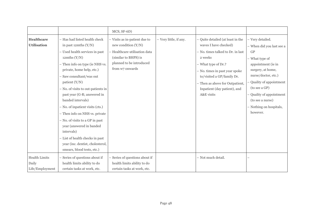|                                                  |                                                                                                                                                                                                                                                                                                                                                                                                                                                                                                                                                                                 | MCS, SF-6D)                                                                                                                                                    |                        |                                                                                                                                                                                                                                                                                    |                                                                                                                                                                                                                                                                             |
|--------------------------------------------------|---------------------------------------------------------------------------------------------------------------------------------------------------------------------------------------------------------------------------------------------------------------------------------------------------------------------------------------------------------------------------------------------------------------------------------------------------------------------------------------------------------------------------------------------------------------------------------|----------------------------------------------------------------------------------------------------------------------------------------------------------------|------------------------|------------------------------------------------------------------------------------------------------------------------------------------------------------------------------------------------------------------------------------------------------------------------------------|-----------------------------------------------------------------------------------------------------------------------------------------------------------------------------------------------------------------------------------------------------------------------------|
| <b>Healthcare</b><br><b>Utilisation</b>          | - Has had listed health check<br>in past 12mths $(Y/N)$<br>- Used health services in past<br>$12$ mths $(Y/N)$<br>- Then info on type (ie NHS vs.<br>private, home help, etc.)<br>- Saw consultant/was out<br>patient $(Y/N)$<br>- No. of visits to out-patients in<br>past year (G-R; answered in<br>banded intervals)<br>- No. of inpatient visits (cts.)<br>- Then info on NHS vs. private<br>- No. of visits to a GP in past<br>year (answered in banded<br>intervals)<br>- List of health checks in past<br>year (inc. dentist, cholesterol,<br>smears, blood tests, etc.) | - Visits as in-patient due to<br>new condition $(Y/N)$<br>- Healthcare utilisation data<br>(similar to BHPS) is<br>planned to be introduced<br>from w7 onwards | - Very little, if any. | - Quite detailed (at least in the<br>waves I have checked)<br>- No. times talked to Dr. in last<br>2 weeks<br>- What type of Dr.?<br>- No. times in past year spoke<br>to/visited a GP/family Dr.<br>- Then as above for Outpatient,<br>Inpatient (day patient), and<br>A&E visits | - Very detailed.<br>- When did you last see a<br>GP<br>- What type of<br>appointment (ie in<br>surgery, at home,<br>nurse/doctor, etc.)<br>- Quality of appointment<br>(to see a GP)<br>- Quality of appointment<br>(to see a nurse)<br>- Nothing on hospitals,<br>however. |
| <b>Health Limits</b><br>Daily<br>Life/Employment | - Series of questions about if<br>health limits ability to do<br>certain tasks at work, etc.                                                                                                                                                                                                                                                                                                                                                                                                                                                                                    | Series of questions about if<br>health limits ability to do<br>certain tasks at work, etc.                                                                     |                        | - Not much detail.                                                                                                                                                                                                                                                                 |                                                                                                                                                                                                                                                                             |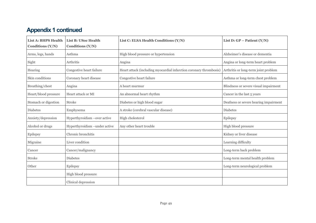#### **Appendix 1 continued**

<span id="page-48-1"></span><span id="page-48-0"></span>

| <b>List A: BHPS Health</b><br>Conditions (Y/N) | List B: USoc Health<br>Conditions (Y/N) | List C: ELSA Health Conditions (Y/N)                               | List D: $GP - Patient (Y/N)$          |
|------------------------------------------------|-----------------------------------------|--------------------------------------------------------------------|---------------------------------------|
| Arms, legs, hands                              | Asthma                                  | High blood pressure or hypertension                                | Alzheimer's disease or dementia       |
| Sight                                          | Arthritis                               | Angina                                                             | Angina or long-term heart problem     |
| Hearing                                        | Congestive heart failure                | Heart attack (including myocardial infarction coronary thrombosis) | Arthritis or long-term joint problem  |
| Skin conditions                                | Coronary heart disease                  | Congestive heart failure                                           | Asthma or long-term chest problem     |
| Breathing/chest                                | Angina                                  | A heart murmur                                                     | Blindness or severe visual impairment |
| Heart/blood pressure                           | Heart attack or MI                      | An abnormal heart rhythm                                           | Cancer in the last 5 years            |
| Stomach or digestion                           | Stroke                                  | Diabetes or high blood sugar                                       | Deafness or severe hearing impairment |
| <b>Diabetes</b>                                | Emphysema                               | A stroke (cerebral vascular disease)                               | <b>Diabetes</b>                       |
| Anxiety/depression                             | Hyperthyroidism -over active            | High cholesterol                                                   | Epilepsy                              |
| Alcohol or drugs                               | Hyperthyroidism -under active           | Any other heart trouble                                            | High blood pressure                   |
| Epilepsy                                       | Chronic bronchitis                      |                                                                    | Kidney or liver disease               |
| Migraine                                       | Liver condition                         |                                                                    | Learning difficulty                   |
| Cancer                                         | Cancer/malignancy                       |                                                                    | Long-term back problem                |
| Stroke                                         | <b>Diabetes</b>                         |                                                                    | Long-term mental health problem       |
| Other                                          | Epilepsy                                |                                                                    | Long-term neurological problem        |
|                                                | High blood pressure                     |                                                                    |                                       |
|                                                | Clinical depression                     |                                                                    |                                       |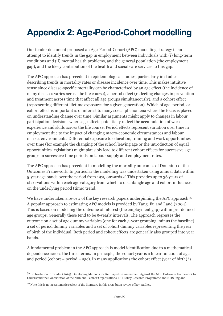# <span id="page-49-0"></span>**Appendix 2: Age-Period-Cohort modelling**

Our tender document proposed an Age-Period-Cohort (APC) modelling strategy in an attempt to identify trends in the gap in employment between individuals with (i) long-term conditions and (ii) mental health problems, and the general population (the employment gap), and the likely contribution of the health and social care services to this gap.

The APC approach has precedent in epidemiological studies, particularly in studies describing trends in mortality rates or disease incidence over time. This makes intuitive sense since disease-specific mortality can be characterised by an age effect (the incidence of many diseases varies across the life course), a period effect (reflecting changes in prevention and treatment across time that affect all age groups simultaneously), and a cohort effect (representing different lifetime exposures for a given generation). Which of age, period, or cohort effect is important is of interest to many social phenomena where the focus is placed on understanding change over time. Similar arguments might apply to changes in labour participation decisions where age effects potentially reflect the accumulation of work experience and skills across the life course. Period effects represent variation over time in employment due to the impact of changing macro-economic circumstances and labour market environments. Differential exposure to education, training and work opportunities over time (for example the changing of the school leaving age or the introduction of equal opportunities legislation) might plausibly lead to different cohort effects for successive age groups in successive time periods on labour supply and employment rates.

The APC approach has precedent in modelling the mortality outcomes of Domain 1 of the Outcomes Framework. In particular the modelling was undertaken using annual data within 5-year age bands over the period from 1979 onwards.<sup>36</sup> This provides up to 36 years of observations within each age category from which to disentangle age and cohort influences on the underlying period (time) trend.

We have undertaken a review of the key research papers underpinning the APC approach.<sup>37</sup> A popular approach to estimating APC models is provided by Yang, Fu and Land (2004). This is based on modelling the outcome of interest (the employment gap) within pre-defined age groups. Generally these tend to be 5-yearly intervals. The approach regresses the outcome on a set of age dummy variables (one for each 5-year grouping, minus the baseline), a set of period dummy variables and a set of cohort dummy variables representing the year of birth of the individual. Both period and cohort effects are generally also grouped into year bands.

A fundamental problem in the APC approach is model identification due to a mathematical dependence across the three terms. In principle, the cohort year is a linear function of age and period (cohort = period  $-$  age). In many applications the cohort effect (year of birth) is

<sup>36</sup> P6 Invitation to Tender (2014). Developing Methods for Retrospective Assessment Against the NHS Outcomes Framework to Understand the Contribution of the NHS and Partner Organisations. DH Policy Research Programme and NHS England.

<sup>37</sup> Note this is not a systematic review of the literature in this area, but a review of key studies.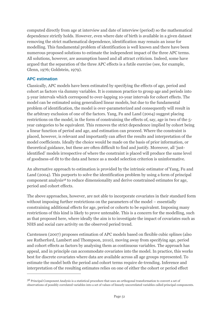computed directly from age at interview and date of interview (period) so the mathematical dependence strictly holds. However, even where date of birth is available in a given dataset removing the strict mathematical dependence, identification may remain an issue for modelling. This fundamental problem of identification is well known and there have been numerous proposed solutions to estimate the independent impact of the three APC terms. All solutions, however, are assumption based and all attract criticism. Indeed, some have argued that the separation of the three APC effects is a futile exercise (see, for example, Glenn, 1976; Goldstein, 1979).

#### **APC estimation**

 $\overline{a}$ 

Classically, APC models have been estimated by specifying the effects of age, period and cohort as factors via dummy variables. It is common practice to group age and periods into 5-year intervals which correspond to over-lapping 10-year intervals for cohort effects. The model can be estimated using generalized linear models, but due to the fundamental problem of identification, the model is over-parameterized and consequently will result in the arbitrary exclusion of one of the factors. Yang, Fu and Land (2004) suggest placing restrictions on the model, in the form of constraining the effects of, say, age in two of the 5 year categories to be equivalent. This removes the strict dependence implied by cohort being a linear function of period and age, and estimation can proceed. Where the constraint is placed, however, is relevant and importantly can affect the results and interpretation of the model coefficients. Ideally the choice would be made on the basis of prior information, or theoretical guidance, but these are often difficult to find and justify. Moreover, all 'justidentified' models irrespective of where the constraint is placed will produce the same level of goodness-of-fit to the data and hence as a model selection criterion is uninformative.

An alternative approach to estimation is provided by the intrinsic estimator of Yang, Fu and Land (2004). This purports to solve the identification problem by using a form of principal component analysis<sup>38</sup> to reduce dimensionality and derive constrained estimates for age, period and cohort effects.

The above approaches, however, are not able to incorporate covariates in their standard form without imposing further restrictions on the parameters of the model – essentially constraining additional effects for age, period or cohorts to be equivalent. Imposing many restrictions of this kind is likely to prove untenable. This is a concern for the modelling, such as that proposed here, where ideally the aim is to investigate the impact of covariates such as NHS and social care activity on the observed period trend.

Carstensen (2007) proposes estimation of APC models based on flexible cubic splines (also see Rutherford, Lambert and Thompson, 2010), moving away from specifying age, period and cohort effects as factors by analysing them as continuous variables. The approach has appeal, and in principle can accommodate covariates into the model. In practice, this works best for discrete covariates where data are available across all age groups represented. To estimate the model both the period and cohort terms require de-trending. Inference and interpretation of the resulting estimates relies on one of either the cohort or period effect

<sup>38</sup> Principal Component Analysis is a statistical procedure that uses an orthogonal transformation to convert a set of observations of possibly correlated variables into a set of values of linearly uncorrelated variables called principal components.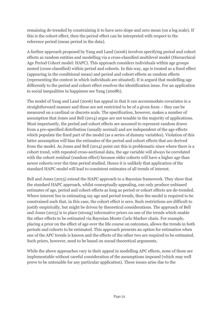remaining de-trended by constraining it to have zero slope and zero mean (on a log scale). If this is the cohort effect, then the period effect can be interpreted with respect to the reference period (mean period in the data).

A further approach proposed by Yang and Land (2006) involves specifying period and cohort effects as random entities and modelling via a cross-classified multilevel model (Hierarchical Age Period Cohort model: HAPC). This approach considers individuals within age groups nested (cross-classified) within period and cohorts. In this way, age is treated as a fixed effect (appearing in the conditional mean) and period and cohort effects as random effects (representing the context in which individuals are situated). It is argued that modelling age differently to the period and cohort effect resolves the identification issue. For an application to social inequalities in happiness see Yang (2008b).

The model of Yang and Land (2006) has appeal in that it can accommodate covariates in a straightforward manner and these are not restricted to be of a given form – they can be measured on a cardinal or discrete scale. The specification, however, makes a number of assumption that Jones and Bell (2014) argue are not tenable in the majority of applications. Most importantly, the period and cohort effects are assumed to represent random draws from a pre-specified distribution (usually normal) and are independent of the age effects which populate the fixed part of the model (as a series of dummy variables). Violation of this latter assumption will bias the estimates of the period and cohort effects that are derived from the model. As Jones and Bell (2014) point out this is problematic since where there is a cohort trend, with repeated cross-sectional data, the age variable will always be correlated with the cohort residual (random effect) because older cohorts will have a higher age than newer cohorts over the time period studied. Hence it is unlikely that application of the standard HAPC model will lead to consistent estimates of all trends of interest.

Bell and Jones (2015) extend the HAPC approach to a Bayesian framework. They show that the standard HAPC approach, whilst conceptually appealing, can only produce unbiased estimates of age, period and cohort effects as long as period or cohort effects are de-trended. Where interest lies in estimating say age and period trends, then the model is required to be constrained such that, in this case, the cohort effect is zero. Such restrictions are difficult to justify empirically, but might be driven by theoretical considerations. The approach of Bell and Jones (2015) is to place (strong) informative priors on one of the trends which enable the other effects to be estimated via Bayesian Monte Carlo Markov chain. For example, placing a prior on the effect of age over the life course on outcomes, allows the trends in both periods and cohorts to be estimated. This approach presents an option for estimation when one of the APC trends is known and the effects of the other two are required to be estimated. Such priors, however, need to be based on sound theoretical arguments.

While the above approaches vary in their appeal in modelling APC effects, none of them are implementable without careful consideration of the assumptions imposed (which may well prove to be untenable for any particular application). These issues arise due to the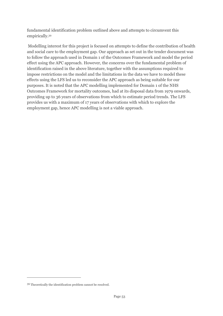fundamental identification problem outlined above and attempts to circumvent this empirically.<sup>39</sup>

Modelling interest for this project is focused on attempts to define the contribution of health and social care to the employment gap. Our approach as set out in the tender document was to follow the approach used in Domain 1 of the Outcomes Framework and model the period effect using the APC approach. However, the concerns over the fundamental problem of identification raised in the above literature, together with the assumptions required to impose restrictions on the model and the limitations in the data we have to model these effects using the LFS led us to reconsider the APC approach as being suitable for our purposes. It is noted that the APC modelling implemented for Domain 1 of the NHS Outcomes Framework for mortality outcomes, had at its disposal data from 1979 onwards, providing up to 36 years of observations from which to estimate period trends. The LFS provides us with a maximum of 17 years of observations with which to explore the employment gap, hence APC modelling is not a viable approach.

<sup>39</sup> Theoretically the identification problem cannot be resolved.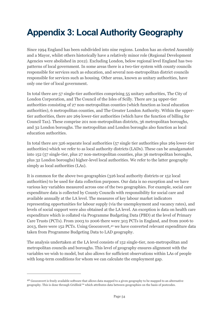# <span id="page-53-0"></span>**Appendix 3: Local Authority Geography**

Since 1994 England has been subdivided into nine regions. London has an elected Assembly and a Mayor, whilst others historically have a relatively minor role (Regional Development Agencies were abolished in 2012). Excluding London, below regional level England has two patterns of local government. In some areas there is a two-tier system with county councils responsible for services such as education, and several non-metropolitan district councils responsible for services such as housing. Other areas, known as unitary authorities, have only one tier of local government.

In total there are 57 single-tier authorities comprising 55 unitary authorities, The City of London Corporation, and The Council of the Isles of Scilly. There are 34 upper-tier authorities consisting of 27 non-metropolitan counties (which function as local education authorities), 6 metropolitan counties, and The Greater London Authority. Within the uppertier authorities, there are 269 lower-tier authorities (which have the function of billing for Council Tax). These comprise 201 non-metropolitan districts, 36 metropolitan boroughs, and 32 London boroughs. The metropolitan and London boroughs also function as local education authorities.

In total there are 326 separate local authorities (57 single tier authorities plus 269 lower-tier authorities) which we refer to as local authority districts (LADs). These can be amalgamated into 152 (57 single-tier, plus 27 non-metropolitan counties, plus 36 metropolitan boroughs, plus 32 London boroughs) higher-level local authorities. We refer to the latter geography simply as local authorities (LAs).

It is common for the above two geographies (326 local authority districts or 152 local authorities) to be used for data collection purposes. Our data is no exception and we have various key variables measured across one of the two geographies. For example, social care expenditure data is collected by County Councils with responsibility for social care and available annually at the LA level. The measures of key labour market indicators representing opportunities for labour supply (via the unemployment and vacancy rates), and levels of social support were also obtained at the LA level. An exception is data on health care expenditure which is collated via Programme Budgeting Data (PBD) at the level of Primary Care Trusts (PCTs). From 2003 to 2006 there were 303 PCTs in England, and from 2006 to 2013, there were 152 PCTs. Using Geoconvert,<sup>40</sup> we have converted relevant expenditure data taken from Programme Budgeting Data to LAD geography.

<span id="page-53-1"></span>The analysis undertaken at the LA level consists of 152 single-tier, non-metropolitan and metropolitan councils and boroughs. This level of geography ensures alignment with the variables we wish to model, but also allows for sufficient observations within LAs of people with long-term conditions for whom we can calculate the employment gap.

<sup>40</sup> Geoconvert is freely available software that allows data mapped to a given geography to be mapped to an alternative geography. This is done through Gridlink™ which attributes data between geographies on the basis of postcodes.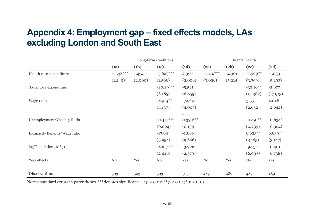### **Appendix 4: Employment gap – fixed effects models, LAs excluding London and South East**

|                                | Long-term conditions |         |             |            | Mental health |          |                        |           |
|--------------------------------|----------------------|---------|-------------|------------|---------------|----------|------------------------|-----------|
|                                | (a)                  | (1b)    | (1c)        | (d)        | (2a)          | (2b)     | (2c)                   | (2d)      |
| Health care expenditure        | $-11.38***$          | 1.454   | $-5.623***$ | 2.396      | $-17.14***$   | $-4.301$ | $-7.999$ <sup>**</sup> | $-1.033$  |
|                                | (1.240)              | (2.000) | (1.506)     | (2.006)    | (3.026)       | (5.214)  | (3.799)                | (5.293)   |
| Social care expenditure        |                      |         | $-20.29***$ | $-5.521$   |               |          | $-33.10**$             | $-2.677$  |
|                                |                      |         | (6.185)     | (6.855)    |               |          | (15.382)               | (17.913)  |
| Wage ratio                     |                      |         | $-8.914***$ | $-7.264*$  |               |          | 3.551                  | 4.048     |
|                                |                      |         | (4.137)     | (4.007)    |               |          | (2.652)                | (2.642)   |
|                                |                      |         |             |            |               |          |                        |           |
| Unemployment/Vacancy Ratio     |                      |         | $-0.417***$ | $0.393***$ |               |          | $-0.491**$             | $-0.634*$ |
|                                |                      |         | (0.094)     | (0.139)    |               |          | (0.239)                | (0.364)   |
| Incapacity Benefits/Wage ratio |                      |         | $-17.84*$   | $-18.86*$  |               |          | $6.623**$              | $6.639**$ |
|                                |                      |         | (9.954)     | (9.666)    |               |          | (3.165)                | (3.147)   |
| log(Population 16-65)          |                      |         | $-8.617***$ | $-3.926$   |               |          | $-9.752$               | $-0.401$  |
|                                |                      |         | (2.446)     | (2.579)    |               |          | (6.093)                | (6.738)   |
| Year effects                   | $\rm No$             | Yes     | No          | Yes        | No            | Yes      | $\rm No$               | Yes       |
|                                |                      |         |             |            |               |          |                        |           |
| <b>Observations</b>            | 503                  | 503     | 503         | 503        | 489           | 489      | 489                    | 489       |

 $\mathbf{r}$ 

<span id="page-54-0"></span>Notes: standard errors in parentheses. \*\*\*denotes significance at  $p < 0.01$ ; \*\*  $p < 0.05$ ; \*  $p < 0.10$ .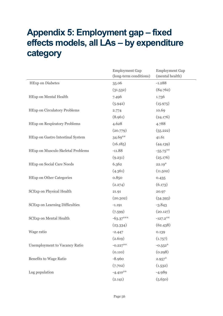### <span id="page-55-0"></span>**Appendix 5: Employment gap – fixed effects models, all LAs – by expenditure category**

|                                       | <b>Employment Gap</b><br>(long-term conditions) | <b>Employment Gap</b><br>(mental health) |
|---------------------------------------|-------------------------------------------------|------------------------------------------|
| <b>HExp</b> on Diabetes               | 35.06                                           | $-1.288$                                 |
|                                       | (31.532)                                        | (84.762)                                 |
| HExp on Mental Health                 | 7.496                                           | 1.736                                    |
|                                       | (5.942)                                         | (15.975)                                 |
| <b>HExp on Circulatory Problems</b>   | 2.774                                           | 10.69                                    |
|                                       | (8.961)                                         | (24.176)                                 |
| HExp on Respiratory Problems          | 4.628                                           | 4.788                                    |
|                                       | (20.779)                                        | (55.222)                                 |
| HExp on Gastro Intestinal System      | 34.69**                                         | 41.61                                    |
|                                       | (16.185)                                        | (44.139)                                 |
| HExp on Musculo Skeletal Problems     | $-11.88$                                        | $-55.75***$                              |
|                                       | (9.231)                                         | (25.176)                                 |
| HExp on Social Care Needs             | 6.362                                           | $22.19*$                                 |
|                                       | (4.361)                                         | (11.502)                                 |
| <b>HExp on Other Categories</b>       | 0.850                                           | 0.435                                    |
|                                       | (2.274)                                         | (6.173)                                  |
| <b>SCExp on Physical Health</b>       | 21.91                                           | 20.97                                    |
|                                       | (20.302)                                        | (54.393)                                 |
| <b>SCExp on Learning Difficulties</b> | $-1.191$                                        | $-3.843$                                 |
|                                       | (7.599)                                         | (20.127)                                 |
| <b>SCExp on Mental Health</b>         | $-63.37***$                                     | $-127.2$ **                              |
|                                       | (23.334)                                        | (62.438)                                 |
| Wage ratio                            | $-2.447$                                        | 0.139                                    |
|                                       | (2.619)                                         | (1.757)                                  |
| Unemployment to Vacancy Ratio         | $-0.227**$                                      | $-0.552*$                                |
|                                       | (0.110)                                         | (0.298)                                  |
| Benefits to Wage Ratio                | $-8.960$                                        | $2.957*$                                 |
|                                       | (7.702)                                         | (1.532)                                  |
| Log population                        | $-4.410**$                                      | $-4.989$                                 |
|                                       | (2.141)                                         | (5.650)                                  |